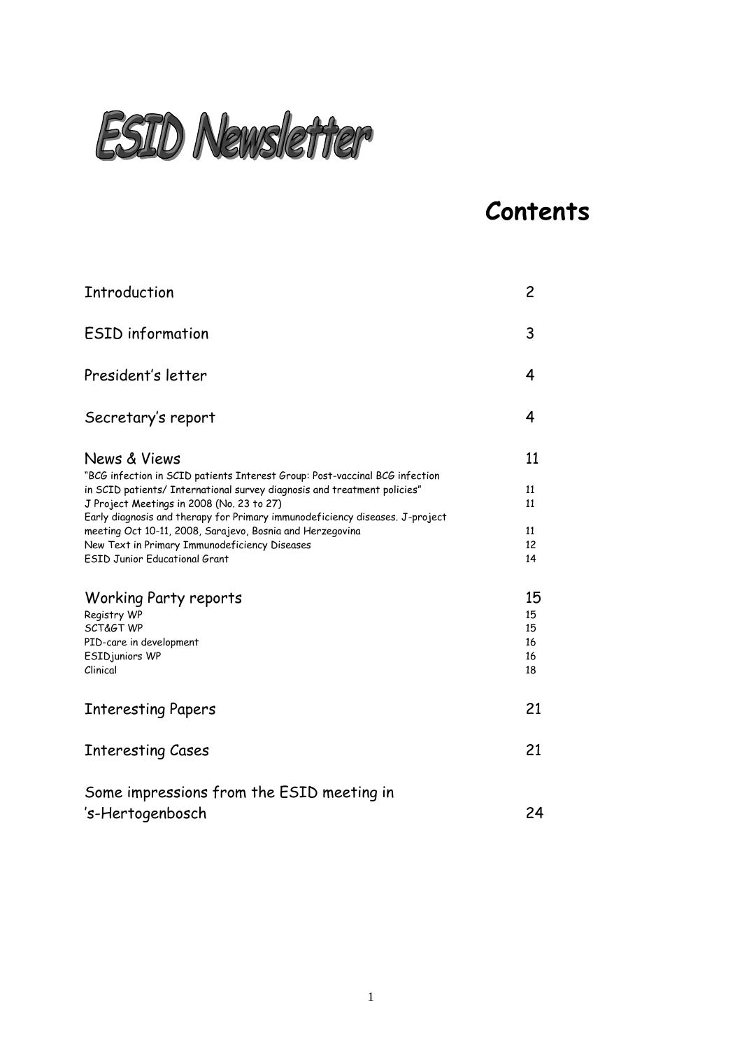

## **Contents**

| Introduction                                                                                                                                                                                                                                                                                                                                                                                       | 2                                |
|----------------------------------------------------------------------------------------------------------------------------------------------------------------------------------------------------------------------------------------------------------------------------------------------------------------------------------------------------------------------------------------------------|----------------------------------|
| <b>ESID</b> information                                                                                                                                                                                                                                                                                                                                                                            | 3                                |
| President's letter                                                                                                                                                                                                                                                                                                                                                                                 | 4                                |
| Secretary's report                                                                                                                                                                                                                                                                                                                                                                                 | 4                                |
| News & Views                                                                                                                                                                                                                                                                                                                                                                                       | 11                               |
| "BCG infection in SCID patients Interest Group: Post-vaccinal BCG infection<br>in SCID patients/ International survey diagnosis and treatment policies"<br>J Project Meetings in 2008 (No. 23 to 27)<br>Early diagnosis and therapy for Primary immunodeficiency diseases. J-project<br>meeting Oct 10-11, 2008, Sarajevo, Bosnia and Herzegovina<br>New Text in Primary Immunodeficiency Diseases | 11<br>11<br>11<br>12             |
| <b>ESID Junior Educational Grant</b>                                                                                                                                                                                                                                                                                                                                                               | 14                               |
| <b>Working Party reports</b><br>Registry WP<br>SCT> WP<br>PID-care in development<br><b>ESIDjuniors WP</b><br>Clinical                                                                                                                                                                                                                                                                             | 15<br>15<br>15<br>16<br>16<br>18 |
| <b>Interesting Papers</b>                                                                                                                                                                                                                                                                                                                                                                          | 21                               |
| <b>Interesting Cases</b>                                                                                                                                                                                                                                                                                                                                                                           | 21                               |
| Some impressions from the ESID meeting in<br>'s-Hertogenbosch                                                                                                                                                                                                                                                                                                                                      | 24                               |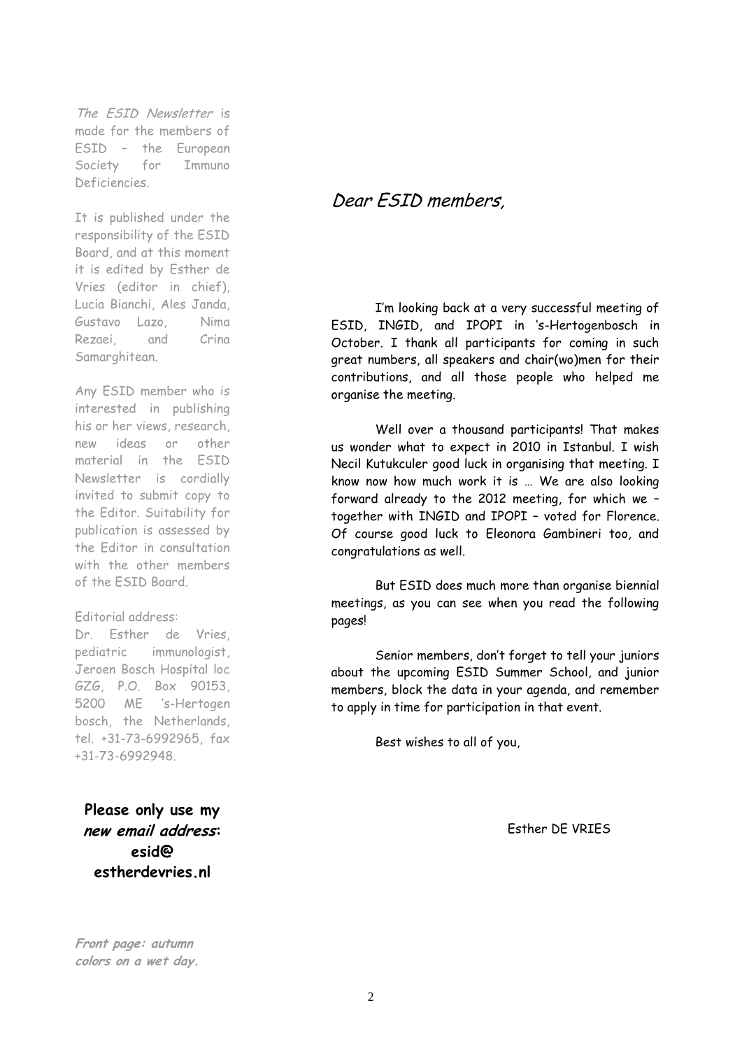The ESID Newsletter is made for the members of ESID – the European Society for Immuno Deficiencies.

It is published under the responsibility of the ESID Board, and at this moment it is edited by Esther de Vries (editor in chief), Lucia Bianchi, Ales Janda, Gustavo Lazo, Nima Rezaei, and Crina Samarghitean.

Any ESID member who is interested in publishing his or her views, research, new ideas or other material in the ESID Newsletter is cordially invited to submit copy to the Editor. Suitability for publication is assessed by the Editor in consultation with the other members of the ESID Board.

#### Editorial address:

Dr. Esther de Vries, pediatric immunologist, Jeroen Bosch Hospital loc GZG, P.O. Box 90153, 5200 ME "s-Hertogen bosch, the Netherlands, tel. +31-73-6992965, fax +31-73-6992948.

**Please only use my new email address: esid@ estherdevries.nl**

**Front page: autumn colors on a wet day.**

## Dear ESID members,

I"m looking back at a very successful meeting of ESID, INGID, and IPOPI in "s-Hertogenbosch in October. I thank all participants for coming in such great numbers, all speakers and chair(wo)men for their contributions, and all those people who helped me organise the meeting.

Well over a thousand participants! That makes us wonder what to expect in 2010 in Istanbul. I wish Necil Kutukculer good luck in organising that meeting. I know now how much work it is … We are also looking forward already to the 2012 meeting, for which we – together with INGID and IPOPI – voted for Florence. Of course good luck to Eleonora Gambineri too, and congratulations as well.

But ESID does much more than organise biennial meetings, as you can see when you read the following pages!

Senior members, don"t forget to tell your juniors about the upcoming ESID Summer School, and junior members, block the data in your agenda, and remember to apply in time for participation in that event.

Best wishes to all of you,

Esther DE VRIES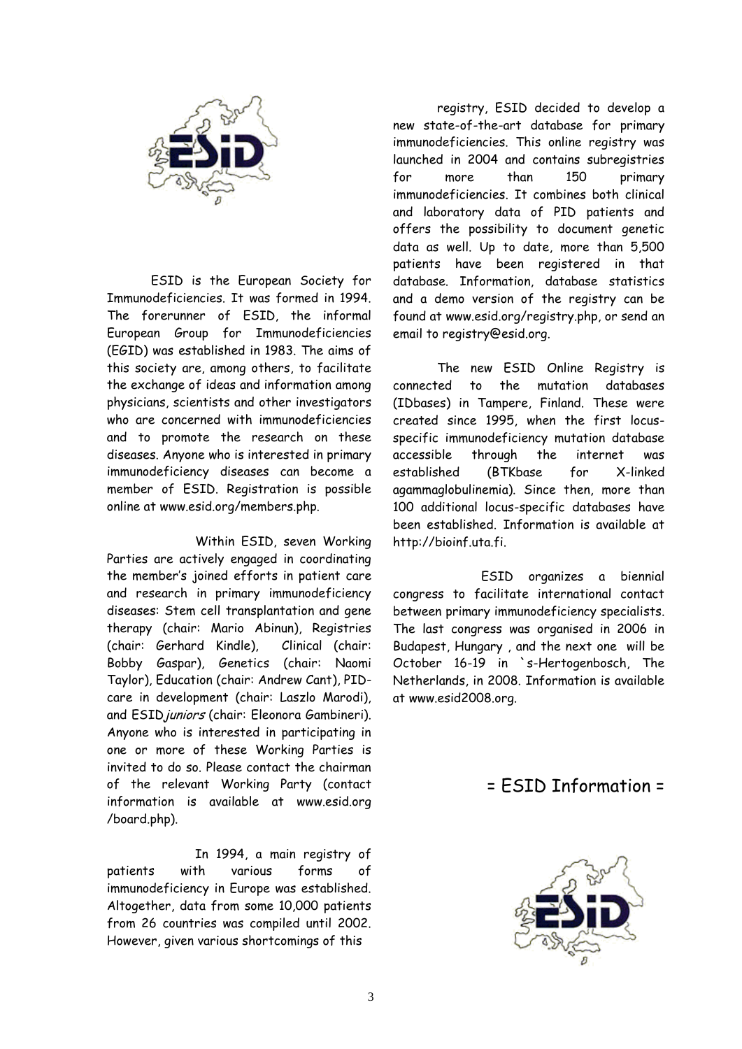

ESID is the European Society for Immunodeficiencies. It was formed in 1994. The forerunner of ESID, the informal European Group for Immunodeficiencies (EGID) was established in 1983. The aims of this society are, among others, to facilitate the exchange of ideas and information among physicians, scientists and other investigators who are concerned with immunodeficiencies and to promote the research on these diseases. Anyone who is interested in primary immunodeficiency diseases can become a member of ESID. Registration is possible online at www.esid.org/members.php.

Within ESID, seven Working Parties are actively engaged in coordinating the member"s joined efforts in patient care and research in primary immunodeficiency diseases: Stem cell transplantation and gene therapy (chair: Mario Abinun), Registries (chair: Gerhard Kindle), Clinical (chair: Bobby Gaspar), Genetics (chair: Naomi Taylor), Education (chair: Andrew Cant), PIDcare in development (chair: Laszlo Marodi), and ESID juniors (chair: Eleonora Gambineri). Anyone who is interested in participating in one or more of these Working Parties is invited to do so. Please contact the chairman of the relevant Working Party (contact information is available at www.esid.org /board.php).

In 1994, a main registry of patients with various forms of immunodeficiency in Europe was established. Altogether, data from some 10,000 patients from 26 countries was compiled until 2002. However, given various shortcomings of this

registry, ESID decided to develop a new state-of-the-art database for primary immunodeficiencies. This online registry was launched in 2004 and contains subregistries for more than 150 primary immunodeficiencies. It combines both clinical and laboratory data of PID patients and offers the possibility to document genetic data as well. Up to date, more than 5,500 patients have been registered in that database. Information, database statistics and a demo version of the registry can be found at www.esid.org/registry.php, or send an email to registry@esid.org.

The new ESID Online Registry is connected to the mutation databases (IDbases) in Tampere, Finland. These were created since 1995, when the first locusspecific immunodeficiency mutation database accessible through the internet was established (BTKbase for X-linked agammaglobulinemia). Since then, more than 100 additional locus-specific databases have been established. Information is available at http://bioinf.uta.fi.

ESID organizes a biennial congress to facilitate international contact between primary immunodeficiency specialists. The last congress was organised in 2006 in Budapest, Hungary , and the next one will be October 16-19 in `s-Hertogenbosch, The Netherlands, in 2008. Information is available at www.esid2008.org.

## = ESID Information =

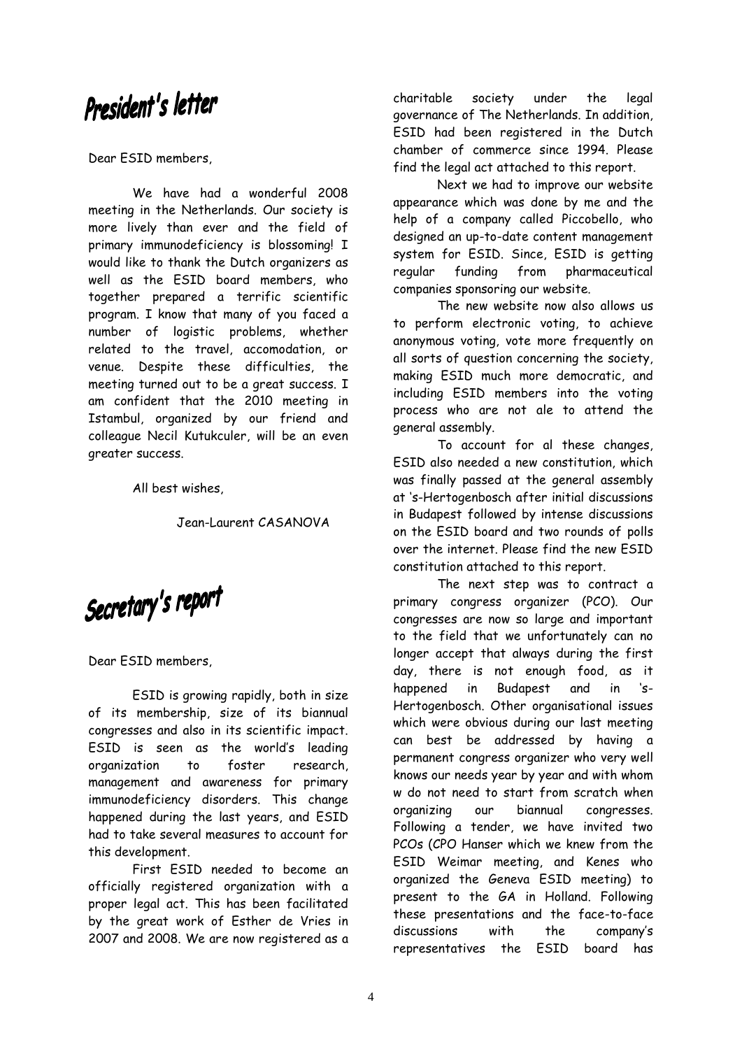# President's letter

Dear ESID members,

We have had a wonderful 2008 meeting in the Netherlands. Our society is more lively than ever and the field of primary immunodeficiency is blossoming! I would like to thank the Dutch organizers as well as the ESID board members, who together prepared a terrific scientific program. I know that many of you faced a number of logistic problems, whether related to the travel, accomodation, or venue. Despite these difficulties, the meeting turned out to be a great success. I am confident that the 2010 meeting in Istambul, organized by our friend and colleague Necil Kutukculer, will be an even greater success.

All best wishes,

Jean-Laurent CASANOVA

Secretary's report

Dear ESID members,

ESID is growing rapidly, both in size of its membership, size of its biannual congresses and also in its scientific impact. ESID is seen as the world"s leading organization to foster research, management and awareness for primary immunodeficiency disorders. This change happened during the last years, and ESID had to take several measures to account for this development.

First ESID needed to become an officially registered organization with a proper legal act. This has been facilitated by the great work of Esther de Vries in 2007 and 2008. We are now registered as a charitable society under the legal governance of The Netherlands. In addition, ESID had been registered in the Dutch chamber of commerce since 1994. Please find the legal act attached to this report.

Next we had to improve our website appearance which was done by me and the help of a company called Piccobello, who designed an up-to-date content management system for ESID. Since, ESID is getting regular funding from pharmaceutical companies sponsoring our website.

The new website now also allows us to perform electronic voting, to achieve anonymous voting, vote more frequently on all sorts of question concerning the society, making ESID much more democratic, and including ESID members into the voting process who are not ale to attend the general assembly.

To account for al these changes, ESID also needed a new constitution, which was finally passed at the general assembly at "s-Hertogenbosch after initial discussions in Budapest followed by intense discussions on the ESID board and two rounds of polls over the internet. Please find the new ESID constitution attached to this report.

The next step was to contract a primary congress organizer (PCO). Our congresses are now so large and important to the field that we unfortunately can no longer accept that always during the first day, there is not enough food, as it happened in Budapest and in "s-Hertogenbosch. Other organisational issues which were obvious during our last meeting can best be addressed by having a permanent congress organizer who very well knows our needs year by year and with whom w do not need to start from scratch when organizing our biannual congresses. Following a tender, we have invited two PCOs (CPO Hanser which we knew from the ESID Weimar meeting, and Kenes who organized the Geneva ESID meeting) to present to the GA in Holland. Following these presentations and the face-to-face discussions with the company"s representatives the ESID board has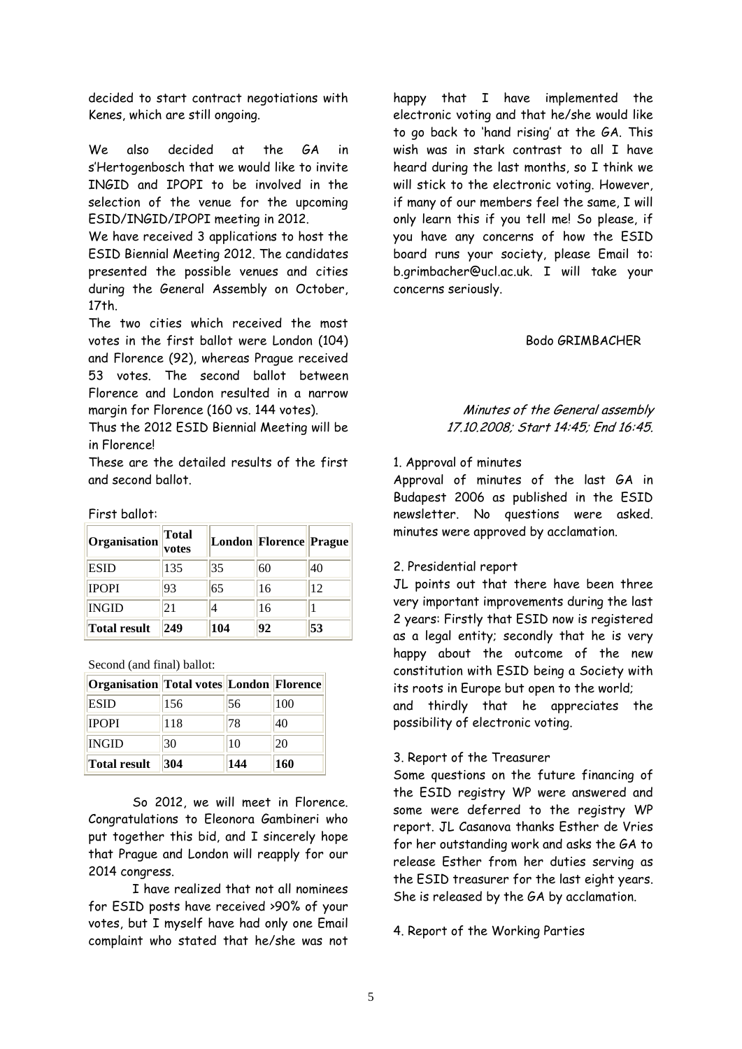decided to start contract negotiations with Kenes, which are still ongoing.

We also decided at the GA in s"Hertogenbosch that we would like to invite INGID and IPOPI to be involved in the selection of the venue for the upcoming ESID/INGID/IPOPI meeting in 2012.

We have received 3 applications to host the ESID Biennial Meeting 2012. The candidates presented the possible venues and cities during the General Assembly on October, 17th.

The two cities which received the most votes in the first ballot were London (104) and Florence (92), whereas Prague received 53 votes. The second ballot between Florence and London resulted in a narrow margin for Florence (160 vs. 144 votes).

Thus the 2012 ESID Biennial Meeting will be in Florence!

These are the detailed results of the first and second ballot.

#### First ballot:

| Organisation        | Total<br>votes |     | London Florence Prague |    |
|---------------------|----------------|-----|------------------------|----|
| <b>ESID</b>         | 135            | 35  | 60                     | 40 |
| <b>IPOPI</b>        | 93             | 65  | 16                     | 12 |
| <b>INGID</b>        | 21             |     | 16                     |    |
| <b>Total result</b> | 249            | 104 | 92                     | 53 |

Second (and final) ballot:

| Organisation  Total votes  London  Florence |     |     |     |
|---------------------------------------------|-----|-----|-----|
| <b>ESID</b>                                 | 156 | 56  | 100 |
| <b>IPOPI</b>                                | 118 | 78  | 40  |
| <b>INGID</b>                                | 30  | 10  | 20  |
| <b>Total result</b>                         | 304 | 144 | 160 |

So 2012, we will meet in Florence. Congratulations to Eleonora Gambineri who put together this bid, and I sincerely hope that Prague and London will reapply for our 2014 congress.

I have realized that not all nominees for ESID posts have received >90% of your votes, but I myself have had only one Email complaint who stated that he/she was not

happy that I have implemented the electronic voting and that he/she would like to go back to 'hand rising' at the GA. This wish was in stark contrast to all I have heard during the last months, so I think we will stick to the electronic voting. However, if many of our members feel the same, I will only learn this if you tell me! So please, if you have any concerns of how the ESID board runs your society, please Email to: b.grimbacher@ucl.ac.uk. I will take your concerns seriously.

#### Bodo GRIMBACHER

#### Minutes of the General assembly 17.10.2008; Start 14:45; End 16:45.

#### 1. Approval of minutes

Approval of minutes of the last GA in Budapest 2006 as published in the ESID newsletter. No questions were asked. minutes were approved by acclamation.

#### 2. Presidential report

JL points out that there have been three very important improvements during the last 2 years: Firstly that ESID now is registered as a legal entity; secondly that he is very happy about the outcome of the new constitution with ESID being a Society with its roots in Europe but open to the world;

and thirdly that he appreciates the possibility of electronic voting.

#### 3. Report of the Treasurer

Some questions on the future financing of the ESID registry WP were answered and some were deferred to the registry WP report. JL Casanova thanks Esther de Vries for her outstanding work and asks the GA to release Esther from her duties serving as the ESID treasurer for the last eight years. She is released by the GA by acclamation.

#### 4. Report of the Working Parties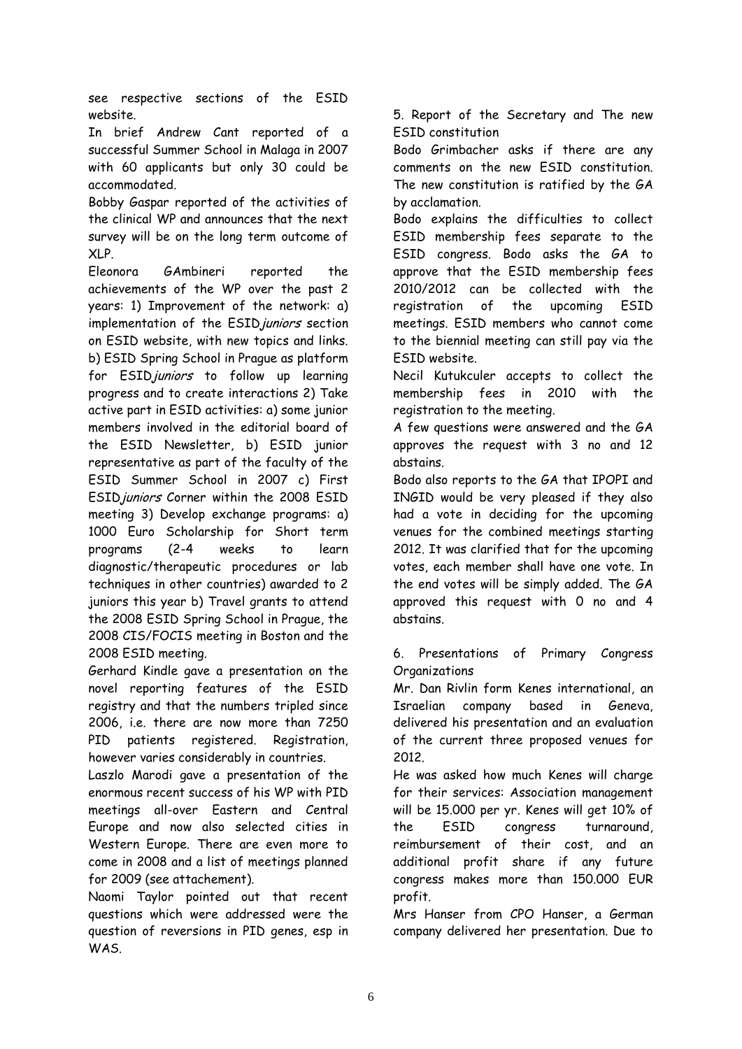see respective sections of the ESID website.

In brief Andrew Cant reported of a successful Summer School in Malaga in 2007 with 60 applicants but only 30 could be accommodated.

Bobby Gaspar reported of the activities of the clinical WP and announces that the next survey will be on the long term outcome of XLP.

Eleonora GAmbineri reported the achievements of the WP over the past 2 years: 1) Improvement of the network: a) implementation of the ESID juniors section on ESID website, with new topics and links. b) ESID Spring School in Prague as platform for ESID juniors to follow up learning progress and to create interactions 2) Take active part in ESID activities: a) some junior members involved in the editorial board of the ESID Newsletter, b) ESID junior representative as part of the faculty of the ESID Summer School in 2007 c) First ESIDjuniors Corner within the 2008 ESID meeting 3) Develop exchange programs: a) 1000 Euro Scholarship for Short term programs (2-4 weeks to learn diagnostic/therapeutic procedures or lab techniques in other countries) awarded to 2 juniors this year b) Travel grants to attend the 2008 ESID Spring School in Prague, the 2008 CIS/FOCIS meeting in Boston and the 2008 ESID meeting.

Gerhard Kindle gave a presentation on the novel reporting features of the ESID registry and that the numbers tripled since 2006, i.e. there are now more than 7250 PID patients registered. Registration, however varies considerably in countries.

Laszlo Marodi gave a presentation of the enormous recent success of his WP with PID meetings all-over Eastern and Central Europe and now also selected cities in Western Europe. There are even more to come in 2008 and a list of meetings planned for 2009 (see attachement).

Naomi Taylor pointed out that recent questions which were addressed were the question of reversions in PID genes, esp in WAS.

5. Report of the Secretary and The new ESID constitution

Bodo Grimbacher asks if there are any comments on the new ESID constitution. The new constitution is ratified by the GA by acclamation.

Bodo explains the difficulties to collect ESID membership fees separate to the ESID congress. Bodo asks the GA to approve that the ESID membership fees 2010/2012 can be collected with the registration of the upcoming ESID meetings. ESID members who cannot come to the biennial meeting can still pay via the ESID website.

Necil Kutukculer accepts to collect the membership fees in 2010 with the registration to the meeting.

A few questions were answered and the GA approves the request with 3 no and 12 abstains.

Bodo also reports to the GA that IPOPI and INGID would be very pleased if they also had a vote in deciding for the upcoming venues for the combined meetings starting 2012. It was clarified that for the upcoming votes, each member shall have one vote. In the end votes will be simply added. The GA approved this request with 0 no and 4 abstains.

6. Presentations of Primary Congress **Organizations** 

Mr. Dan Rivlin form Kenes international, an Israelian company based in Geneva, delivered his presentation and an evaluation of the current three proposed venues for 2012.

He was asked how much Kenes will charge for their services: Association management will be 15.000 per yr. Kenes will get 10% of the ESID congress turnaround, reimbursement of their cost, and an additional profit share if any future congress makes more than 150.000 EUR profit.

Mrs Hanser from CPO Hanser, a German company delivered her presentation. Due to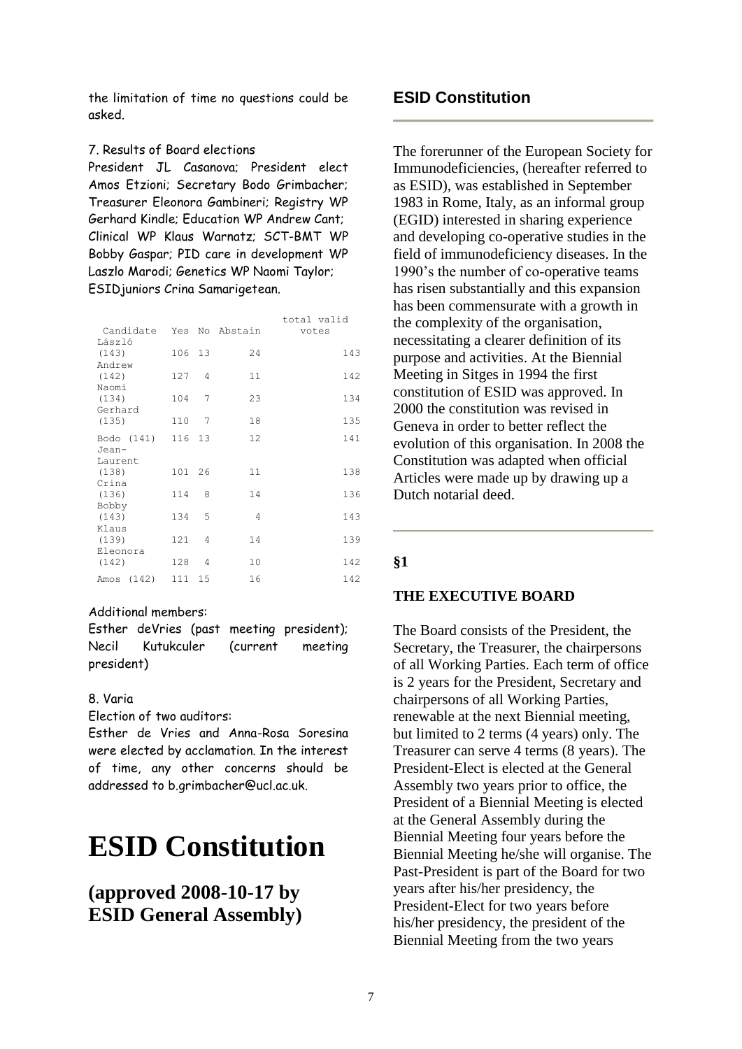the limitation of time no questions could be asked.

#### 7. Results of Board elections

President JL Casanova; President elect Amos Etzioni; Secretary Bodo Grimbacher; Treasurer Eleonora Gambineri; Registry WP Gerhard Kindle; Education WP Andrew Cant; Clinical WP Klaus Warnatz; SCT-BMT WP Bobby Gaspar; PID care in development WP Laszlo Marodi; Genetics WP Naomi Taylor; ESIDjuniors Crina Samarigetean.

|                       |        |     |                | total valid |
|-----------------------|--------|-----|----------------|-------------|
| Candidate             | Yes    |     | No Abstain     | votes       |
| László<br>(143)       | 106    | 13  | 24             | 143         |
| Andrew<br>(142)       | 127    | 4   | 11             | 142         |
| Naomi<br>(134)        | 104    | 7   | 23             | 134         |
| Gerhard<br>(135)      | 110    | 7   | 18             | 135         |
| Bodo (141)<br>$Jean-$ | 116 13 |     | 12             | 141         |
| Laurent               |        |     |                |             |
| (138)<br>Crina        | 101    | 26  | 11             | 138         |
| (136)                 | 114    | 8   | 14             | 136         |
| Bobby<br>(143)        | 134    | 5   | $\overline{4}$ | 143         |
| Klaus<br>(139)        | 121    | 4   | 14             | 139         |
| Eleonora<br>(142)     | 128    | 4   | 10             | 142         |
| Amos (142)            | 111    | 1.5 | 16             | 142         |

Additional members:

Esther deVries (past meeting president); Necil Kutukculer (current meeting president)

#### 8. Varia

Election of two auditors:

Esther de Vries and Anna-Rosa Soresina were elected by acclamation. In the interest of time, any other concerns should be addressed to b.grimbacher@ucl.ac.uk.

# **ESID Constitution**

## **(approved 2008-10-17 by ESID General Assembly)**

## **ESID Constitution**

The forerunner of the European Society for Immunodeficiencies, (hereafter referred to as ESID), was established in September 1983 in Rome, Italy, as an informal group (EGID) interested in sharing experience and developing co-operative studies in the field of immunodeficiency diseases. In the 1990's the number of co-operative teams has risen substantially and this expansion has been commensurate with a growth in the complexity of the organisation, necessitating a clearer definition of its purpose and activities. At the Biennial Meeting in Sitges in 1994 the first constitution of ESID was approved. In 2000 the constitution was revised in Geneva in order to better reflect the evolution of this organisation. In 2008 the Constitution was adapted when official Articles were made up by drawing up a Dutch notarial deed.

#### **§1**

#### **THE EXECUTIVE BOARD**

The Board consists of the President, the Secretary, the Treasurer, the chairpersons of all Working Parties. Each term of office is 2 years for the President, Secretary and chairpersons of all Working Parties, renewable at the next Biennial meeting, but limited to 2 terms (4 years) only. The Treasurer can serve 4 terms (8 years). The President-Elect is elected at the General Assembly two years prior to office, the President of a Biennial Meeting is elected at the General Assembly during the Biennial Meeting four years before the Biennial Meeting he/she will organise. The Past-President is part of the Board for two years after his/her presidency, the President-Elect for two years before his/her presidency, the president of the Biennial Meeting from the two years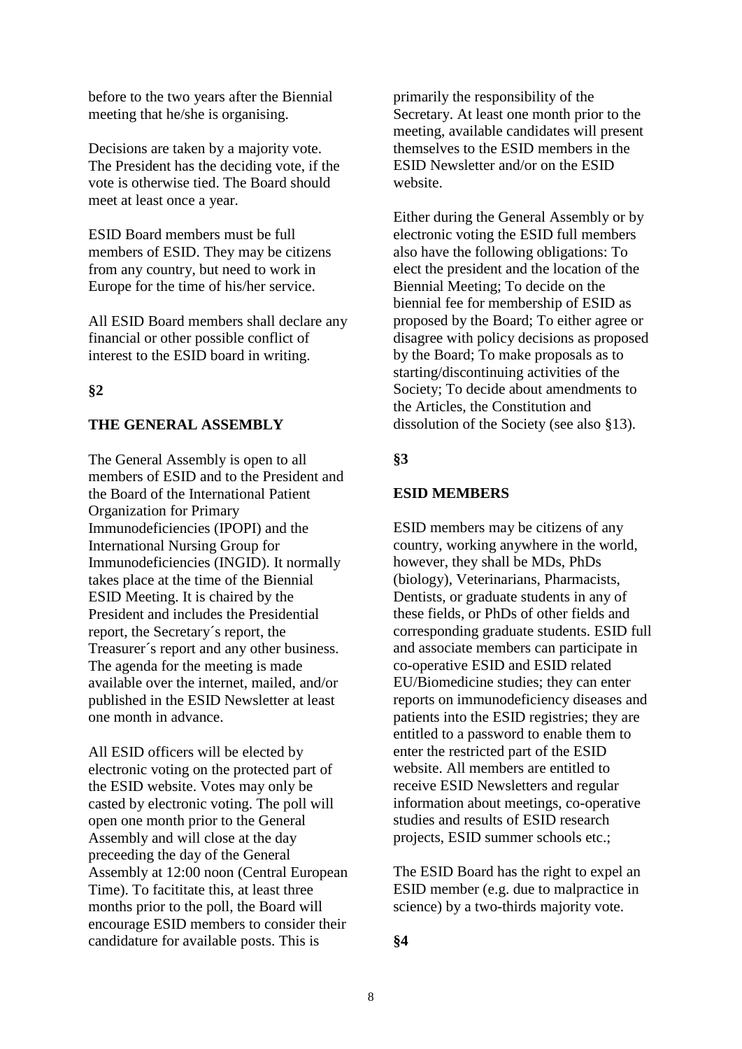before to the two years after the Biennial meeting that he/she is organising.

Decisions are taken by a majority vote. The President has the deciding vote, if the vote is otherwise tied. The Board should meet at least once a year.

ESID Board members must be full members of ESID. They may be citizens from any country, but need to work in Europe for the time of his/her service.

All ESID Board members shall declare any financial or other possible conflict of interest to the ESID board in writing.

#### **§2**

#### **THE GENERAL ASSEMBLY**

The General Assembly is open to all members of ESID and to the President and the Board of the International Patient Organization for Primary Immunodeficiencies (IPOPI) and the International Nursing Group for Immunodeficiencies (INGID). It normally takes place at the time of the Biennial ESID Meeting. It is chaired by the President and includes the Presidential report, the Secretary´s report, the Treasurer´s report and any other business. The agenda for the meeting is made available over the internet, mailed, and/or published in the ESID Newsletter at least one month in advance.

All ESID officers will be elected by electronic voting on the protected part of the ESID website. Votes may only be casted by electronic voting. The poll will open one month prior to the General Assembly and will close at the day preceeding the day of the General Assembly at 12:00 noon (Central European Time). To facititate this, at least three months prior to the poll, the Board will encourage ESID members to consider their candidature for available posts. This is

primarily the responsibility of the Secretary. At least one month prior to the meeting, available candidates will present themselves to the ESID members in the ESID Newsletter and/or on the ESID website.

Either during the General Assembly or by electronic voting the ESID full members also have the following obligations: To elect the president and the location of the Biennial Meeting; To decide on the biennial fee for membership of ESID as proposed by the Board; To either agree or disagree with policy decisions as proposed by the Board; To make proposals as to starting/discontinuing activities of the Society; To decide about amendments to the Articles, the Constitution and dissolution of the Society (see also §13).

#### **§3**

#### **ESID MEMBERS**

ESID members may be citizens of any country, working anywhere in the world, however, they shall be MDs, PhDs (biology), Veterinarians, Pharmacists, Dentists, or graduate students in any of these fields, or PhDs of other fields and corresponding graduate students. ESID full and associate members can participate in co-operative ESID and ESID related EU/Biomedicine studies; they can enter reports on immunodeficiency diseases and patients into the ESID registries; they are entitled to a password to enable them to enter the restricted part of the ESID website. All members are entitled to receive ESID Newsletters and regular information about meetings, co-operative studies and results of ESID research projects, ESID summer schools etc.;

The ESID Board has the right to expel an ESID member (e.g. due to malpractice in science) by a two-thirds majority vote.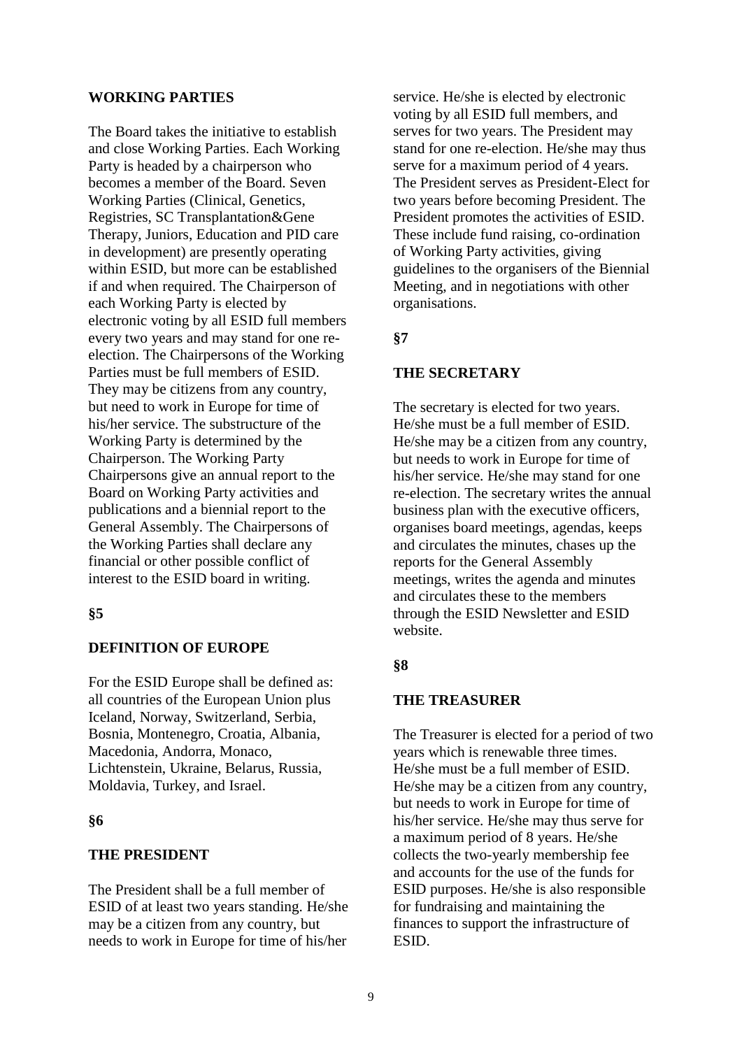#### **WORKING PARTIES**

The Board takes the initiative to establish and close Working Parties. Each Working Party is headed by a chairperson who becomes a member of the Board. Seven Working Parties (Clinical, Genetics, Registries, SC Transplantation&Gene Therapy, Juniors, Education and PID care in development) are presently operating within ESID, but more can be established if and when required. The Chairperson of each Working Party is elected by electronic voting by all ESID full members every two years and may stand for one reelection. The Chairpersons of the Working Parties must be full members of ESID. They may be citizens from any country, but need to work in Europe for time of his/her service. The substructure of the Working Party is determined by the Chairperson. The Working Party Chairpersons give an annual report to the Board on Working Party activities and publications and a biennial report to the General Assembly. The Chairpersons of the Working Parties shall declare any financial or other possible conflict of interest to the ESID board in writing.

#### **§5**

#### **DEFINITION OF EUROPE**

For the ESID Europe shall be defined as: all countries of the European Union plus Iceland, Norway, Switzerland, Serbia, Bosnia, Montenegro, Croatia, Albania, Macedonia, Andorra, Monaco, Lichtenstein, Ukraine, Belarus, Russia, Moldavia, Turkey, and Israel.

#### **§6**

#### **THE PRESIDENT**

The President shall be a full member of ESID of at least two years standing. He/she may be a citizen from any country, but needs to work in Europe for time of his/her

service. He/she is elected by electronic voting by all ESID full members, and serves for two years. The President may stand for one re-election. He/she may thus serve for a maximum period of 4 years. The President serves as President-Elect for two years before becoming President. The President promotes the activities of ESID. These include fund raising, co-ordination of Working Party activities, giving guidelines to the organisers of the Biennial Meeting, and in negotiations with other organisations.

#### **§7**

#### **THE SECRETARY**

The secretary is elected for two years. He/she must be a full member of ESID. He/she may be a citizen from any country, but needs to work in Europe for time of his/her service. He/she may stand for one re-election. The secretary writes the annual business plan with the executive officers, organises board meetings, agendas, keeps and circulates the minutes, chases up the reports for the General Assembly meetings, writes the agenda and minutes and circulates these to the members through the ESID Newsletter and ESID website.

#### **§8**

#### **THE TREASURER**

The Treasurer is elected for a period of two years which is renewable three times. He/she must be a full member of ESID. He/she may be a citizen from any country, but needs to work in Europe for time of his/her service. He/she may thus serve for a maximum period of 8 years. He/she collects the two-yearly membership fee and accounts for the use of the funds for ESID purposes. He/she is also responsible for fundraising and maintaining the finances to support the infrastructure of ESID.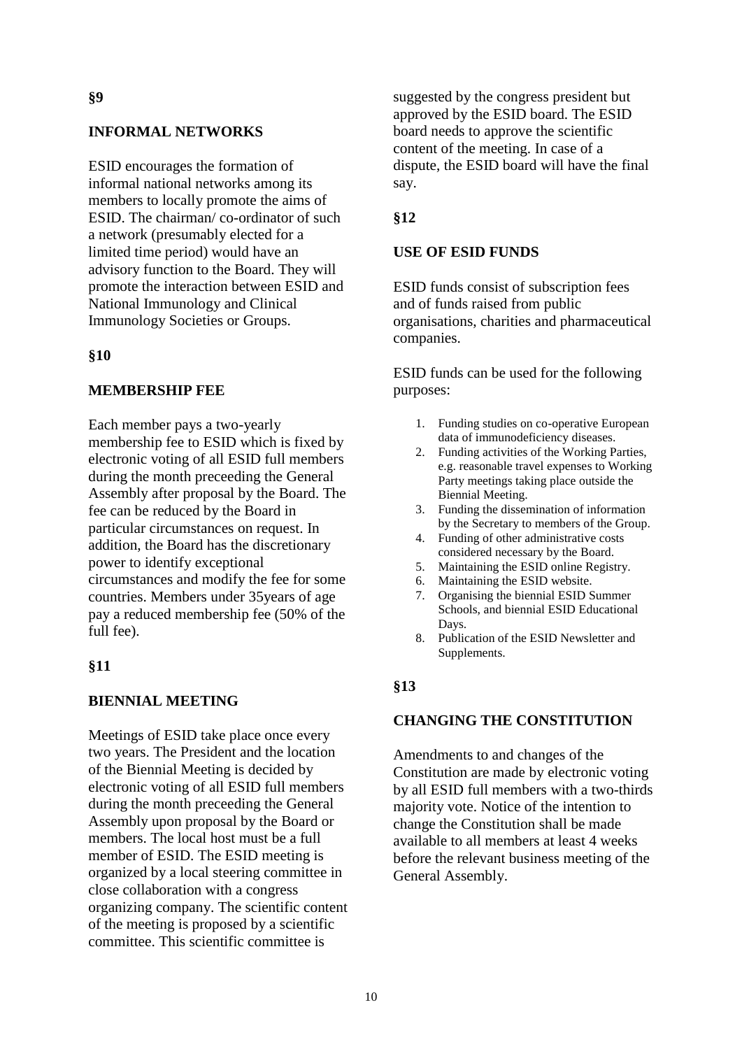#### **INFORMAL NETWORKS**

ESID encourages the formation of informal national networks among its members to locally promote the aims of ESID. The chairman/ co-ordinator of such a network (presumably elected for a limited time period) would have an advisory function to the Board. They will promote the interaction between ESID and National Immunology and Clinical Immunology Societies or Groups.

#### **§10**

#### **MEMBERSHIP FEE**

Each member pays a two-yearly membership fee to ESID which is fixed by electronic voting of all ESID full members during the month preceeding the General Assembly after proposal by the Board. The fee can be reduced by the Board in particular circumstances on request. In addition, the Board has the discretionary power to identify exceptional circumstances and modify the fee for some countries. Members under 35years of age pay a reduced membership fee (50% of the full fee).

#### **§11**

#### **BIENNIAL MEETING**

Meetings of ESID take place once every two years. The President and the location of the Biennial Meeting is decided by electronic voting of all ESID full members during the month preceeding the General Assembly upon proposal by the Board or members. The local host must be a full member of ESID. The ESID meeting is organized by a local steering committee in close collaboration with a congress organizing company. The scientific content of the meeting is proposed by a scientific committee. This scientific committee is

suggested by the congress president but approved by the ESID board. The ESID board needs to approve the scientific content of the meeting. In case of a dispute, the ESID board will have the final say.

#### **§12**

#### **USE OF ESID FUNDS**

ESID funds consist of subscription fees and of funds raised from public organisations, charities and pharmaceutical companies.

ESID funds can be used for the following purposes:

- 1. Funding studies on co-operative European data of immunodeficiency diseases.
- 2. Funding activities of the Working Parties, e.g. reasonable travel expenses to Working Party meetings taking place outside the Biennial Meeting.
- 3. Funding the dissemination of information by the Secretary to members of the Group.
- 4. Funding of other administrative costs considered necessary by the Board.
- 5. Maintaining the ESID online Registry.
- 6. Maintaining the ESID website.
- 7. Organising the biennial ESID Summer Schools, and biennial ESID Educational Days.
- 8. Publication of the ESID Newsletter and Supplements.

#### **§13**

#### **CHANGING THE CONSTITUTION**

Amendments to and changes of the Constitution are made by electronic voting by all ESID full members with a two-thirds majority vote. Notice of the intention to change the Constitution shall be made available to all members at least 4 weeks before the relevant business meeting of the General Assembly.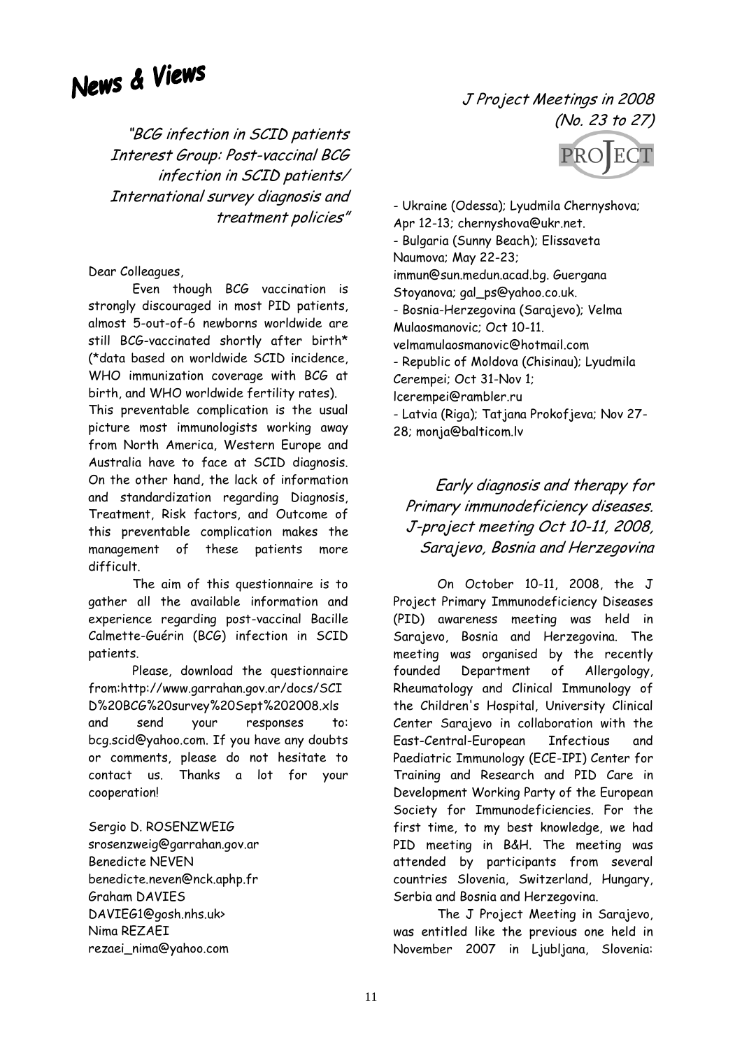# News & Views

"BCG infection in SCID patients Interest Group: Post-vaccinal BCG infection in SCID patients/ International survey diagnosis and treatment policies"

Dear Colleagues,

Even though BCG vaccination is strongly discouraged in most PID patients, almost 5-out-of-6 newborns worldwide are still BCG-vaccinated shortly after birth\* (\*data based on worldwide SCID incidence, WHO immunization coverage with BCG at birth, and WHO worldwide fertility rates).

This preventable complication is the usual picture most immunologists working away from North America, Western Europe and Australia have to face at SCID diagnosis. On the other hand, the lack of information and standardization regarding Diagnosis, Treatment, Risk factors, and Outcome of this preventable complication makes the management of these patients more difficult.

The aim of this questionnaire is to gather all the available information and experience regarding post-vaccinal Bacille Calmette-Guérin (BCG) infection in SCID patients.

Please, download the questionnaire from:http://www.garrahan.gov.ar/docs/SCI D%20BCG%20survey%20Sept%202008.xls and send your responses to: bcg.scid@yahoo.com. If you have any doubts or comments, please do not hesitate to contact us. Thanks a lot for your cooperation!

Sergio D. ROSENZWEIG srosenzweig@garrahan.gov.ar Benedicte NEVEN benedicte.neven@nck.aphp.fr Graham DAVIES DAVIEG1@gosh.nhs.uk> Nima REZAEI rezaei\_nima@yahoo.com

## J Project Meetings in 2008 (No. 23 to 27)



- Ukraine (Odessa); Lyudmila Chernyshova; Apr 12-13; chernyshova@ukr.net. - Bulgaria (Sunny Beach); Elissaveta Naumova; May 22-23; immun@sun.medun.acad.bg. Guergana Stoyanova; gal\_ps@yahoo.co.uk. - Bosnia-Herzegovina (Sarajevo); Velma Mulaosmanovic; Oct 10-11. velmamulaosmanovic@hotmail.com - Republic of Moldova (Chisinau); Lyudmila Cerempei; Oct 31-Nov 1; lcerempei@rambler.ru - Latvia (Riga); Tatjana Prokofjeva; Nov 27- 28; monja@balticom.lv

## Early diagnosis and therapy for Primary immunodeficiency diseases. J-project meeting Oct 10-11, 2008, Sarajevo, Bosnia and Herzegovina

On October 10-11, 2008, the J Project Primary Immunodeficiency Diseases (PID) awareness meeting was held in Sarajevo, Bosnia and Herzegovina. The meeting was organised by the recently founded Department of Allergology, Rheumatology and Clinical Immunology of the Children's Hospital, University Clinical Center Sarajevo in collaboration with the East-Central-European Infectious and Paediatric Immunology (ECE-IPI) Center for Training and Research and PID Care in Development Working Party of the European Society for Immunodeficiencies. For the first time, to my best knowledge, we had PID meeting in B&H. The meeting was attended by participants from several countries Slovenia, Switzerland, Hungary, Serbia and Bosnia and Herzegovina.

The J Project Meeting in Sarajevo, was entitled like the previous one held in November 2007 in Ljubljana, Slovenia: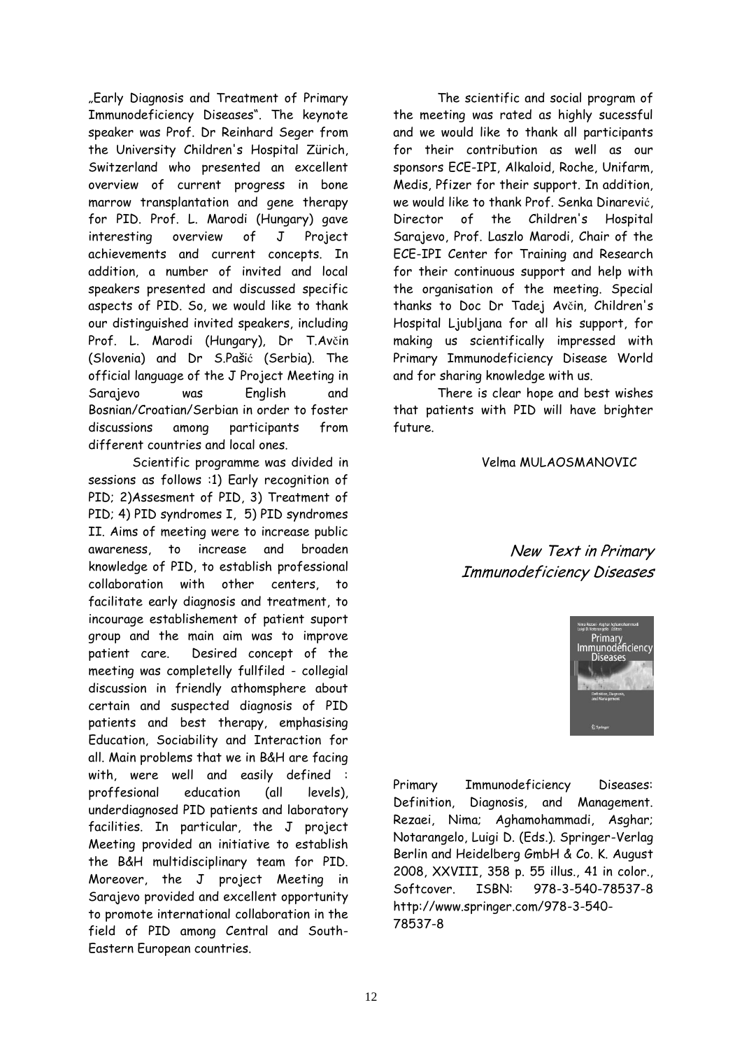"Early Diagnosis and Treatment of Primary Immunodeficiency Diseases". The keynote speaker was Prof. Dr Reinhard Seger from the University Children's Hospital Zürich, Switzerland who presented an excellent overview of current progress in bone marrow transplantation and gene therapy for PID. Prof. L. Marodi (Hungary) gave interesting overview of J Project achievements and current concepts. In addition, a number of invited and local speakers presented and discussed specific aspects of PID. So, we would like to thank our distinguished invited speakers, including Prof. L. Marodi (Hungary), Dr T.Avčin (Slovenia) and Dr S.Pašić (Serbia). The official language of the J Project Meeting in Sarajevo was English and Bosnian/Croatian/Serbian in order to foster discussions among participants from different countries and local ones.

Scientific programme was divided in sessions as follows :1) Early recognition of PID; 2)Assesment of PID, 3) Treatment of PID; 4) PID syndromes I, 5) PID syndromes II. Aims of meeting were to increase public awareness, to increase and broaden knowledge of PID, to establish professional collaboration with other centers, to facilitate early diagnosis and treatment, to incourage establishement of patient suport group and the main aim was to improve patient care. Desired concept of the meeting was completelly fullfiled - collegial discussion in friendly athomsphere about certain and suspected diagnosis of PID patients and best therapy, emphasising Education, Sociability and Interaction for all. Main problems that we in B&H are facing with, were well and easily defined : proffesional education (all levels), underdiagnosed PID patients and laboratory facilities. In particular, the J project Meeting provided an initiative to establish the B&H multidisciplinary team for PID. Moreover, the J project Meeting in Sarajevo provided and excellent opportunity to promote international collaboration in the field of PID among Central and South-Eastern European countries.

The scientific and social program of the meeting was rated as highly sucessful and we would like to thank all participants for their contribution as well as our sponsors ECE-IPI, Alkaloid, Roche, Unifarm, Medis, Pfizer for their support. In addition, we would like to thank Prof. Senka Dinarević, Director of the Children's Hospital Sarajevo, Prof. Laszlo Marodi, Chair of the ECE-IPI Center for Training and Research for their continuous support and help with the organisation of the meeting. Special thanks to Doc Dr Tadej Avčin, Children's Hospital Ljubljana for all his support, for making us scientifically impressed with Primary Immunodeficiency Disease World and for sharing knowledge with us.

There is clear hope and best wishes that patients with PID will have brighter future.

#### Velma MULAOSMANOVIC

New Text in Primary Immunodeficiency Diseases



Primary Immunodeficiency Diseases: Definition, Diagnosis, and Management. Rezaei, Nima; Aghamohammadi, Asghar; Notarangelo, Luigi D. (Eds.). Springer-Verlag Berlin and Heidelberg GmbH & Co. K. August 2008, XXVIII, 358 p. 55 illus., 41 in color., Softcover. ISBN: 978-3-540-78537-8 http://www.springer.com/978-3-540- 78537-8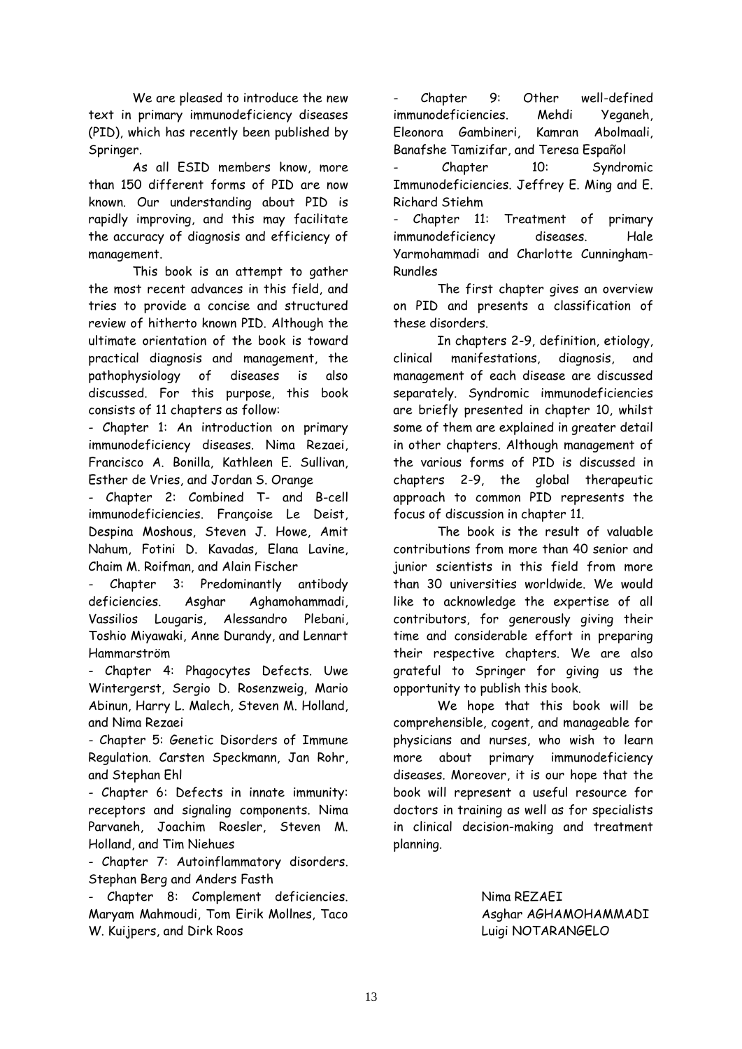We are pleased to introduce the new text in primary immunodeficiency diseases (PID), which has recently been published by Springer.

As all ESID members know, more than 150 different forms of PID are now known. Our understanding about PID is rapidly improving, and this may facilitate the accuracy of diagnosis and efficiency of management.

This book is an attempt to gather the most recent advances in this field, and tries to provide a concise and structured review of hitherto known PID. Although the ultimate orientation of the book is toward practical diagnosis and management, the pathophysiology of diseases is also discussed. For this purpose, this book consists of 11 chapters as follow:

- Chapter 1: An introduction on primary immunodeficiency diseases. Nima Rezaei, Francisco A. Bonilla, Kathleen E. Sullivan, Esther de Vries, and Jordan S. Orange

- Chapter 2: Combined T- and B-cell immunodeficiencies. Françoise Le Deist, Despina Moshous, Steven J. Howe, Amit Nahum, Fotini D. Kavadas, Elana Lavine, Chaim M. Roifman, and Alain Fischer

- Chapter 3: Predominantly antibody deficiencies. Asghar Aghamohammadi, Vassilios Lougaris, Alessandro Plebani, Toshio Miyawaki, Anne Durandy, and Lennart Hammarström

- Chapter 4: Phagocytes Defects. Uwe Wintergerst, Sergio D. Rosenzweig, Mario Abinun, Harry L. Malech, Steven M. Holland, and Nima Rezaei

- Chapter 5: Genetic Disorders of Immune Regulation. Carsten Speckmann, Jan Rohr, and Stephan Ehl

- Chapter 6: Defects in innate immunity: receptors and signaling components. Nima Parvaneh, Joachim Roesler, Steven M. Holland, and Tim Niehues

- Chapter 7: Autoinflammatory disorders. Stephan Berg and Anders Fasth

- Chapter 8: Complement deficiencies. Maryam Mahmoudi, Tom Eirik Mollnes, Taco W. Kuijpers, and Dirk Roos

Chapter 9: Other well-defined immunodeficiencies. Mehdi Yeganeh, Eleonora Gambineri, Kamran Abolmaali, Banafshe Tamizifar, and Teresa Español

Chapter 10: Syndromic Immunodeficiencies. Jeffrey E. Ming and E. Richard Stiehm

Chapter 11: Treatment of primary immunodeficiency diseases. Hale Yarmohammadi and Charlotte Cunningham-Rundles

The first chapter gives an overview on PID and presents a classification of these disorders.

In chapters 2-9, definition, etiology, clinical manifestations, diagnosis, and management of each disease are discussed separately. Syndromic immunodeficiencies are briefly presented in chapter 10, whilst some of them are explained in greater detail in other chapters. Although management of the various forms of PID is discussed in chapters 2-9, the global therapeutic approach to common PID represents the focus of discussion in chapter 11.

The book is the result of valuable contributions from more than 40 senior and junior scientists in this field from more than 30 universities worldwide. We would like to acknowledge the expertise of all contributors, for generously giving their time and considerable effort in preparing their respective chapters. We are also grateful to Springer for giving us the opportunity to publish this book.

We hope that this book will be comprehensible, cogent, and manageable for physicians and nurses, who wish to learn more about primary immunodeficiency diseases. Moreover, it is our hope that the book will represent a useful resource for doctors in training as well as for specialists in clinical decision-making and treatment planning.

> Nima REZAEI Asghar AGHAMOHAMMADI Luigi NOTARANGELO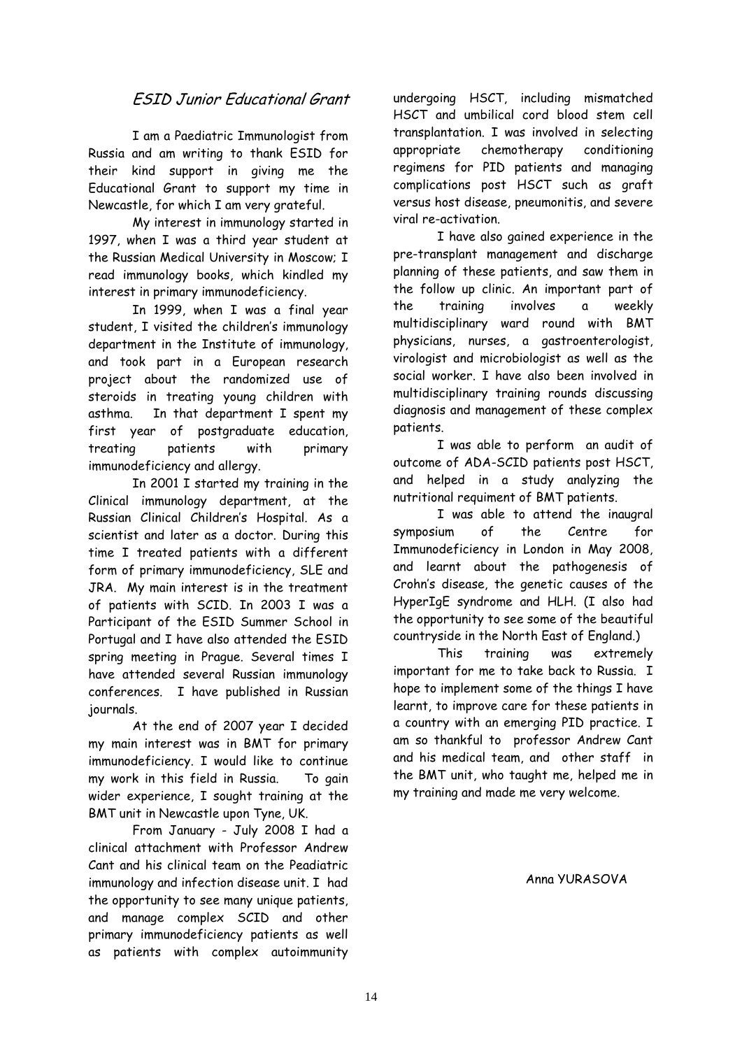## ESID Junior Educational Grant

I am a Paediatric Immunologist from Russia and am writing to thank ESID for their kind support in giving me the Educational Grant to support my time in Newcastle, for which I am very grateful.

My interest in immunology started in 1997, when I was a third year student at the Russian Medical University in Moscow; I read immunology books, which kindled my interest in primary immunodeficiency.

In 1999, when I was a final year student, I visited the children"s immunology department in the Institute of immunology, and took part in a European research project about the randomized use of steroids in treating young children with asthma. In that department I spent my first year of postgraduate education, treating patients with primary immunodeficiency and allergy.

In 2001 I started my training in the Clinical immunology department, at the Russian Clinical Children"s Hospital. As a scientist and later as a doctor. During this time I treated patients with a different form of primary immunodeficiency, SLE and JRA. My main interest is in the treatment of patients with SCID. In 2003 I was a Participant of the ESID Summer School in Portugal and I have also attended the ESID spring meeting in Prague. Several times I have attended several Russian immunology conferences. I have published in Russian journals.

At the end of 2007 year I decided my main interest was in BMT for primary immunodeficiency. I would like to continue my work in this field in Russia. To gain wider experience, I sought training at the BMT unit in Newcastle upon Tyne, UK.

From January - July 2008 I had a clinical attachment with Professor Andrew Cant and his clinical team on the Peadiatric immunology and infection disease unit. I had the opportunity to see many unique patients, and manage complex SCID and other primary immunodeficiency patients as well as patients with complex autoimmunity undergoing HSCT, including mismatched HSCT and umbilical cord blood stem cell transplantation. I was involved in selecting appropriate chemotherapy conditioning regimens for PID patients and managing complications post HSCT such as graft versus host disease, pneumonitis, and severe viral re-activation.

I have also gained experience in the pre-transplant management and discharge planning of these patients, and saw them in the follow up clinic. An important part of the training involves a weekly multidisciplinary ward round with BMT physicians, nurses, a gastroenterologist, virologist and microbiologist as well as the social worker. I have also been involved in multidisciplinary training rounds discussing diagnosis and management of these complex patients.

I was able to perform an audit of outcome of ADA-SCID patients post HSCT, and helped in a study analyzing the nutritional requiment of BMT patients.

I was able to attend the inaugral symposium of the Centre for Immunodeficiency in London in May 2008, and learnt about the pathogenesis of Crohn"s disease, the genetic causes of the HyperIgE syndrome and HLH. (I also had the opportunity to see some of the beautiful countryside in the North East of England.)

This training was extremely important for me to take back to Russia. I hope to implement some of the things I have learnt, to improve care for these patients in a country with an emerging PID practice. I am so thankful to professor Andrew Cant and his medical team, and other staff in the BMT unit, who taught me, helped me in my training and made me very welcome.

Anna YURASOVA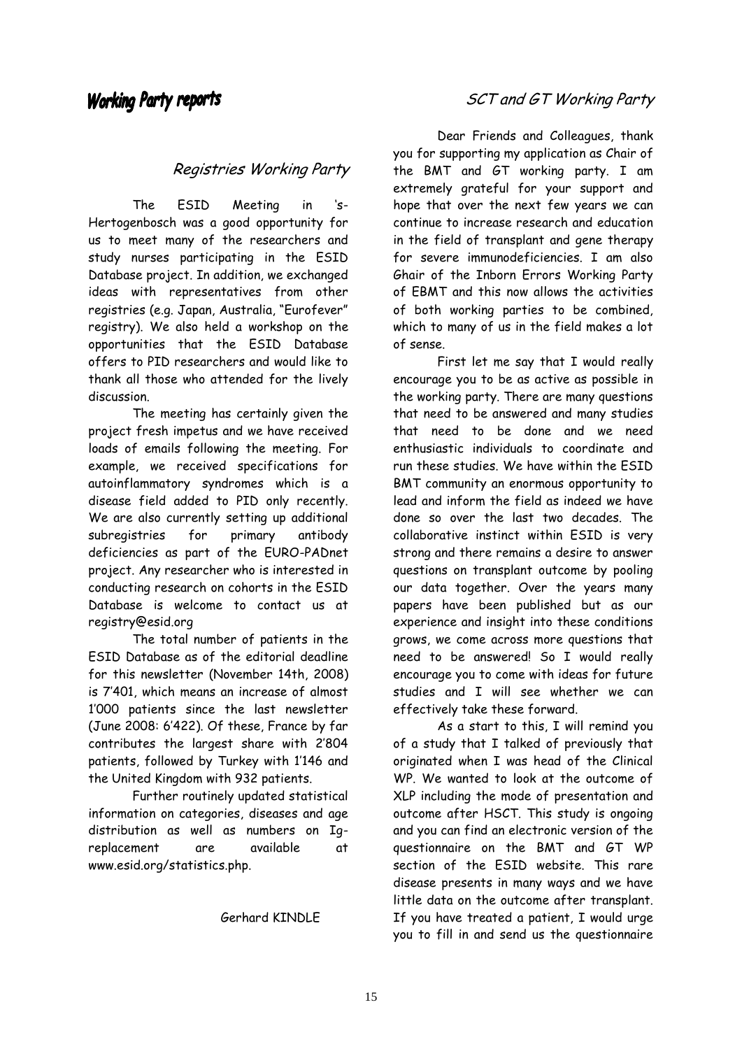## Registries Working Party

The ESID Meeting in "s-Hertogenbosch was a good opportunity for us to meet many of the researchers and study nurses participating in the ESID Database project. In addition, we exchanged ideas with representatives from other registries (e.g. Japan, Australia, "Eurofever" registry). We also held a workshop on the opportunities that the ESID Database offers to PID researchers and would like to thank all those who attended for the lively discussion.

The meeting has certainly given the project fresh impetus and we have received loads of emails following the meeting. For example, we received specifications for autoinflammatory syndromes which is a disease field added to PID only recently. We are also currently setting up additional subregistries for primary antibody deficiencies as part of the EURO-PADnet project. Any researcher who is interested in conducting research on cohorts in the ESID Database is welcome to contact us at registry@esid.org

The total number of patients in the ESID Database as of the editorial deadline for this newsletter (November 14th, 2008) is 7"401, which means an increase of almost 1"000 patients since the last newsletter (June 2008: 6"422). Of these, France by far contributes the largest share with 2"804 patients, followed by Turkey with 1"146 and the United Kingdom with 932 patients.

Further routinely updated statistical information on categories, diseases and age distribution as well as numbers on Igreplacement are available at www.esid.org/statistics.php.

#### Gerhard KINDLE

## SCT and GT Working Party

Dear Friends and Colleagues, thank you for supporting my application as Chair of the BMT and GT working party. I am extremely grateful for your support and hope that over the next few years we can continue to increase research and education in the field of transplant and gene therapy for severe immunodeficiencies. I am also Ghair of the Inborn Errors Working Party of EBMT and this now allows the activities of both working parties to be combined, which to many of us in the field makes a lot of sense.

First let me say that I would really encourage you to be as active as possible in the working party. There are many questions that need to be answered and many studies that need to be done and we need enthusiastic individuals to coordinate and run these studies. We have within the ESID BMT community an enormous opportunity to lead and inform the field as indeed we have done so over the last two decades. The collaborative instinct within ESID is very strong and there remains a desire to answer questions on transplant outcome by pooling our data together. Over the years many papers have been published but as our experience and insight into these conditions grows, we come across more questions that need to be answered! So I would really encourage you to come with ideas for future studies and I will see whether we can effectively take these forward.

As a start to this, I will remind you of a study that I talked of previously that originated when I was head of the Clinical WP. We wanted to look at the outcome of XLP including the mode of presentation and outcome after HSCT. This study is ongoing and you can find an electronic version of the questionnaire on the BMT and GT WP section of the ESID website. This rare disease presents in many ways and we have little data on the outcome after transplant. If you have treated a patient, I would urge you to fill in and send us the questionnaire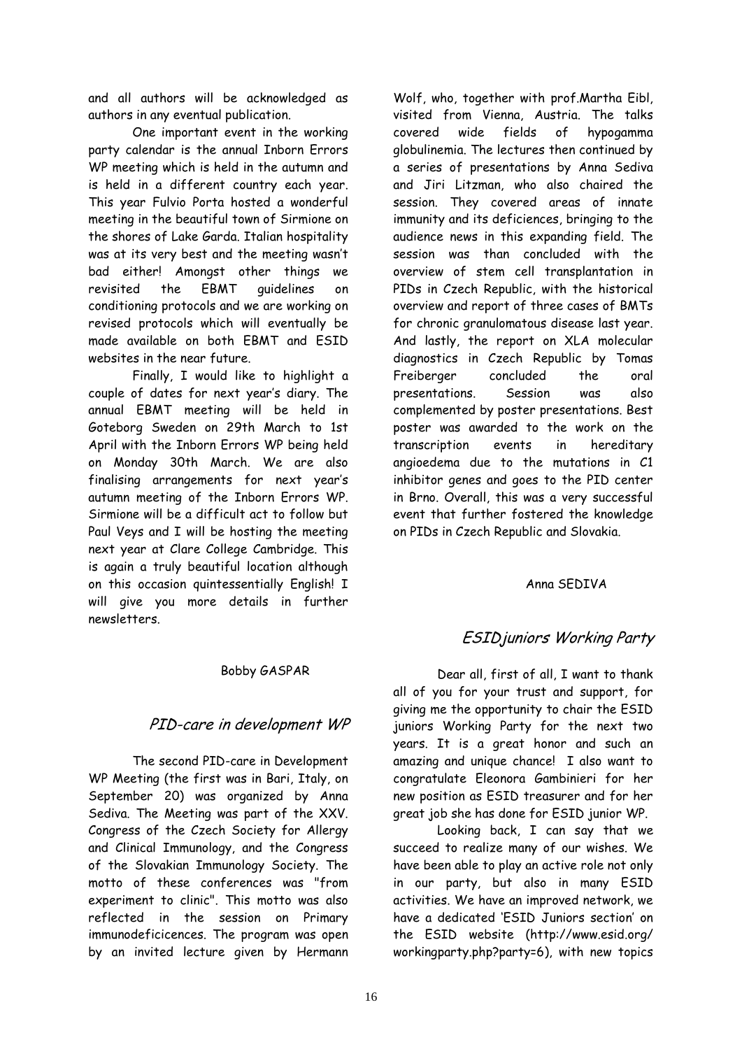and all authors will be acknowledged as authors in any eventual publication.

One important event in the working party calendar is the annual Inborn Errors WP meeting which is held in the autumn and is held in a different country each year. This year Fulvio Porta hosted a wonderful meeting in the beautiful town of Sirmione on the shores of Lake Garda. Italian hospitality was at its very best and the meeting wasn"t bad either! Amongst other things we revisited the EBMT guidelines on conditioning protocols and we are working on revised protocols which will eventually be made available on both EBMT and ESID websites in the near future.

Finally, I would like to highlight a couple of dates for next year"s diary. The annual EBMT meeting will be held in Goteborg Sweden on 29th March to 1st April with the Inborn Errors WP being held on Monday 30th March. We are also finalising arrangements for next year"s autumn meeting of the Inborn Errors WP. Sirmione will be a difficult act to follow but Paul Veys and I will be hosting the meeting next year at Clare College Cambridge. This is again a truly beautiful location although on this occasion quintessentially English! I will give you more details in further newsletters.

#### Bobby GASPAR

#### PID-care in development WP

The second PID-care in Development WP Meeting (the first was in Bari, Italy, on September 20) was organized by Anna Sediva. The Meeting was part of the XXV. Congress of the Czech Society for Allergy and Clinical Immunology, and the Congress of the Slovakian Immunology Society. The motto of these conferences was "from experiment to clinic". This motto was also reflected in the session on Primary immunodeficicences. The program was open by an invited lecture given by Hermann

Wolf, who, together with prof.Martha Eibl, visited from Vienna, Austria. The talks covered wide fields of hypogamma globulinemia. The lectures then continued by a series of presentations by Anna Sediva and Jiri Litzman, who also chaired the session. They covered areas of innate immunity and its deficiences, bringing to the audience news in this expanding field. The session was than concluded with the overview of stem cell transplantation in PIDs in Czech Republic, with the historical overview and report of three cases of BMTs for chronic granulomatous disease last year. And lastly, the report on XLA molecular diagnostics in Czech Republic by Tomas Freiberger concluded the oral presentations. Session was also complemented by poster presentations. Best poster was awarded to the work on the transcription events in hereditary angioedema due to the mutations in C1 inhibitor genes and goes to the PID center in Brno. Overall, this was a very successful event that further fostered the knowledge on PIDs in Czech Republic and Slovakia.

#### Anna SEDIVA

## ESIDjuniors Working Party

Dear all, first of all, I want to thank all of you for your trust and support, for giving me the opportunity to chair the ESID juniors Working Party for the next two years. It is a great honor and such an amazing and unique chance! I also want to congratulate Eleonora Gambinieri for her new position as ESID treasurer and for her great job she has done for ESID junior WP.

Looking back, I can say that we succeed to realize many of our wishes. We have been able to play an active role not only in our party, but also in many ESID activities. We have an improved network, we have a dedicated "ESID Juniors section" on the ESID website (http://www.esid.org/ workingparty.php?party=6), with new topics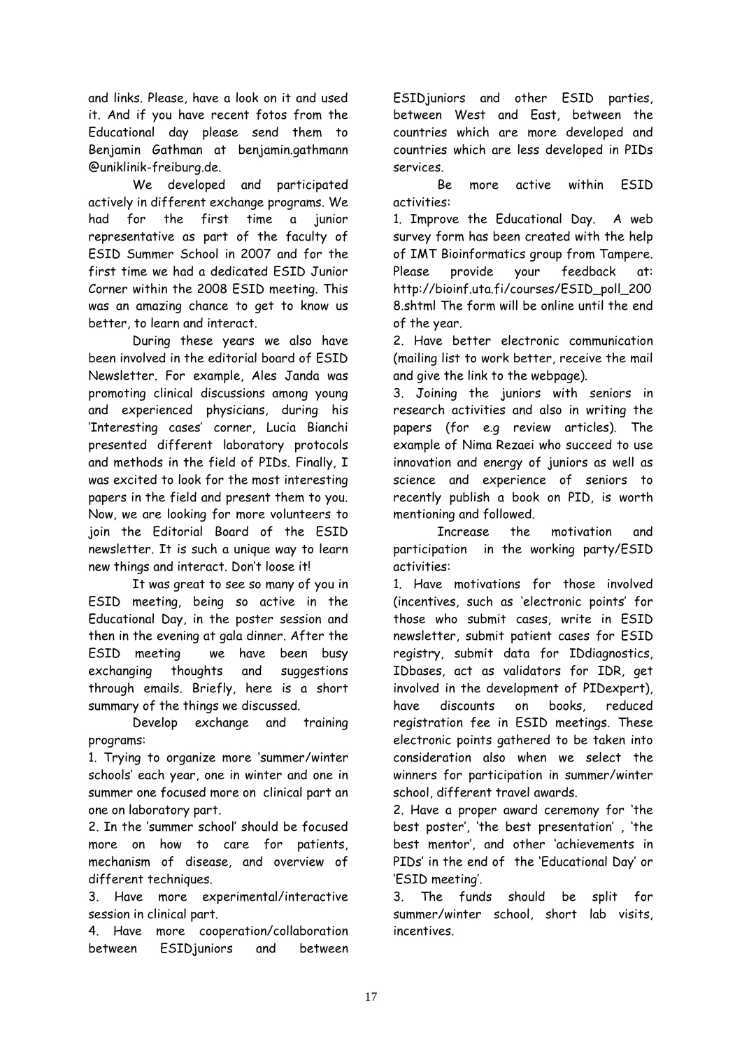and links. Please, have a look on it and used it. And if you have recent fotos from the Educational day please send them to Benjamin Gathman at benjamin.gathmann @uniklinik-freiburg.de.

We developed and participated actively in different exchange programs. We had for the first time a junior representative as part of the faculty of ESID Summer School in 2007 and for the first time we had a dedicated ESID Junior Corner within the 2008 ESID meeting. This was an amazing chance to get to know us better, to learn and interact.

During these years we also have been involved in the editorial board of ESID Newsletter. For example, Ales Janda was promoting clinical discussions among young and experienced physicians, during his 'Interesting cases' corner, Lucia Bianchi presented different laboratory protocols and methods in the field of PIDs. Finally, I was excited to look for the most interesting papers in the field and present them to you. Now, we are looking for more volunteers to join the Editorial Board of the ESID newsletter. It is such a unique way to learn new things and interact. Don"t loose it!

It was great to see so many of you in ESID meeting, being so active in the Educational Day, in the poster session and then in the evening at gala dinner. After the ESID meeting we have been busy exchanging thoughts and suggestions through emails. Briefly, here is a short summary of the things we discussed.

Develop exchange and training programs:

1. Trying to organize more "summer/winter schools" each year, one in winter and one in summer one focused more on clinical part an one on laboratory part.

2. In the "summer school" should be focused more on how to care for patients, mechanism of disease, and overview of different techniques.

3. Have more experimental/interactive session in clinical part.

4. Have more cooperation/collaboration between ESIDjuniors and between ESIDjuniors and other ESID parties, between West and East, between the countries which are more developed and countries which are less developed in PIDs services.

Be more active within ESID activities:

1. Improve the Educational Day. A web survey form has been created with the help of IMT Bioinformatics group from Tampere. Please provide your feedback at: http://bioinf.uta.fi/courses/ESID\_poll\_200 8.shtml The form will be online until the end of the year.

2. Have better electronic communication (mailing list to work better, receive the mail and give the link to the webpage).

3. Joining the juniors with seniors in research activities and also in writing the papers (for e.g review articles). The example of Nima Rezaei who succeed to use innovation and energy of juniors as well as science and experience of seniors to recently publish a book on PID, is worth mentioning and followed.

Increase the motivation and participation in the working party/ESID activities:

1. Have motivations for those involved (incentives, such as "electronic points" for those who submit cases, write in ESID newsletter, submit patient cases for ESID registry, submit data for IDdiagnostics, IDbases, act as validators for IDR, get involved in the development of PIDexpert), have discounts on books, reduced registration fee in ESID meetings. These electronic points gathered to be taken into consideration also when we select the winners for participation in summer/winter school, different travel awards.

2. Have a proper award ceremony for "the best poster", "the best presentation" , "the best mentor", and other "achievements in PIDs" in the end of the "Educational Day" or 'ESID meeting'.

3. The funds should be split for summer/winter school, short lab visits, incentives.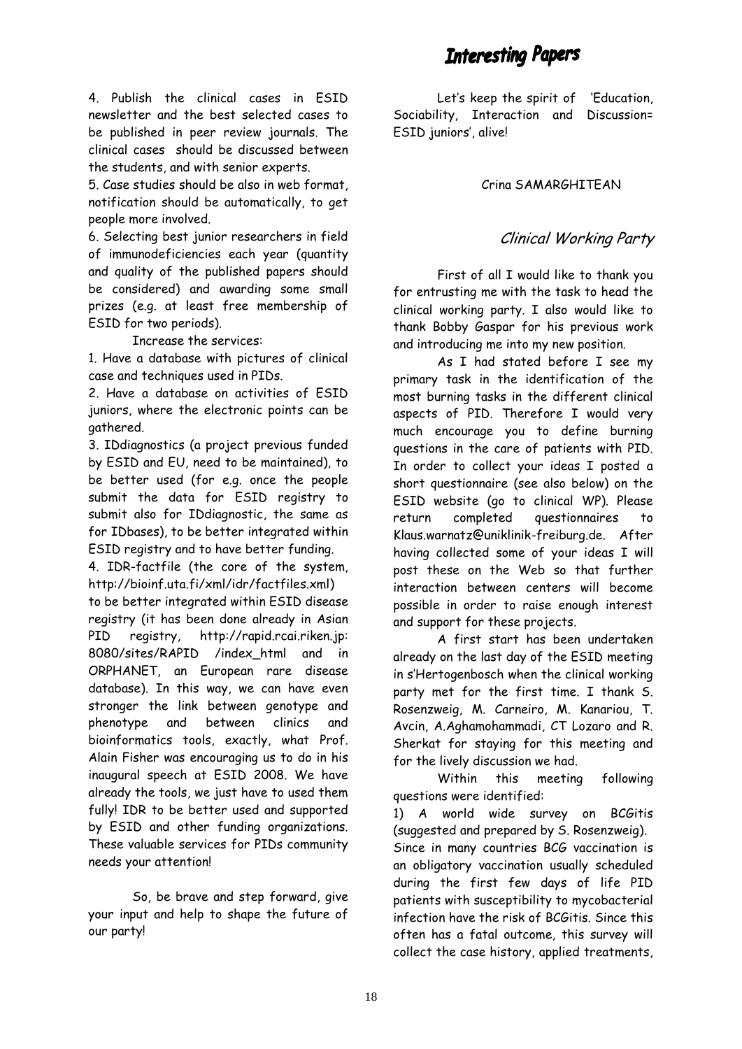## **Interesting Papers**

4. Publish the clinical cases in ESID newsletter and the best selected cases to be published in peer review journals. The clinical cases should be discussed between the students, and with senior experts.

5. Case studies should be also in web format, notification should be automatically, to get people more involved.

6. Selecting best junior researchers in field of immunodeficiencies each year (quantity and quality of the published papers should be considered) and awarding some small prizes (e.g. at least free membership of ESID for two periods).

Increase the services:

1. Have a database with pictures of clinical case and techniques used in PIDs.

2. Have a database on activities of ESID juniors, where the electronic points can be gathered.

3. IDdiagnostics (a project previous funded by ESID and EU, need to be maintained), to be better used (for e.g. once the people submit the data for ESID registry to submit also for IDdiagnostic, the same as for IDbases), to be better integrated within ESID registry and to have better funding.

4. IDR-factfile (the core of the system, http://bioinf.uta.fi/xml/idr/factfiles.xml)

to be better integrated within ESID disease registry (it has been done already in Asian PID registry, http://rapid.rcai.riken.jp: 8080/sites/RAPID /index\_html and in ORPHANET, an European rare disease database). In this way, we can have even stronger the link between genotype and phenotype and between clinics and bioinformatics tools, exactly, what Prof. Alain Fisher was encouraging us to do in his inaugural speech at ESID 2008. We have already the tools, we just have to used them fully! IDR to be better used and supported by ESID and other funding organizations. These valuable services for PIDs community needs your attention!

So, be brave and step forward, give your input and help to shape the future of our party!

Let's keep the spirit of 'Education, Sociability, Interaction and Discussion= ESID juniors", alive!

#### Crina SAMARGHITEAN

### Clinical Working Party

First of all I would like to thank you for entrusting me with the task to head the clinical working party. I also would like to thank Bobby Gaspar for his previous work and introducing me into my new position.

As I had stated before I see my primary task in the identification of the most burning tasks in the different clinical aspects of PID. Therefore I would very much encourage you to define burning questions in the care of patients with PID. In order to collect your ideas I posted a short questionnaire (see also below) on the ESID website (go to clinical WP). Please return completed questionnaires to Klaus.warnatz@uniklinik-freiburg.de. After having collected some of your ideas I will post these on the Web so that further interaction between centers will become possible in order to raise enough interest and support for these projects.

A first start has been undertaken already on the last day of the ESID meeting in s"Hertogenbosch when the clinical working party met for the first time. I thank S. Rosenzweig, M. Carneiro, M. Kanariou, T. Avcin, A.Aghamohammadi, CT Lozaro and R. Sherkat for staying for this meeting and for the lively discussion we had.

Within this meeting following questions were identified:

1) A world wide survey on BCGitis (suggested and prepared by S. Rosenzweig).

Since in many countries BCG vaccination is an obligatory vaccination usually scheduled during the first few days of life PID patients with susceptibility to mycobacterial infection have the risk of BCGitis. Since this often has a fatal outcome, this survey will collect the case history, applied treatments,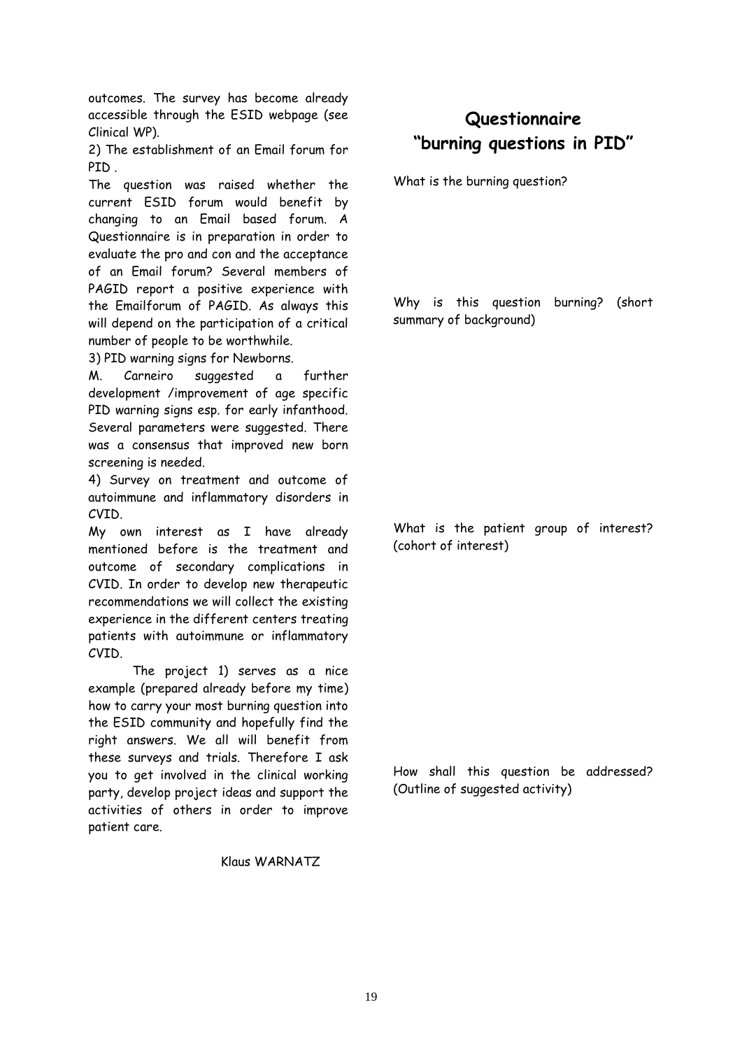outcomes. The survey has become already accessible through the ESID webpage (see Clinical WP).

2) The establishment of an Email forum for PID .

The question was raised whether the current ESID forum would benefit by changing to an Email based forum. A Questionnaire is in preparation in order to evaluate the pro and con and the acceptance of an Email forum? Several members of PAGID report a positive experience with the Emailforum of PAGID. As always this will depend on the participation of a critical number of people to be worthwhile.

3) PID warning signs for Newborns.

M. Carneiro suggested a further development /improvement of age specific PID warning signs esp. for early infanthood. Several parameters were suggested. There was a consensus that improved new born screening is needed.

4) Survey on treatment and outcome of autoimmune and inflammatory disorders in CVID.

My own interest as I have already mentioned before is the treatment and outcome of secondary complications in CVID. In order to develop new therapeutic recommendations we will collect the existing experience in the different centers treating patients with autoimmune or inflammatory CVID.

The project 1) serves as a nice example (prepared already before my time) how to carry your most burning question into the ESID community and hopefully find the right answers. We all will benefit from these surveys and trials. Therefore I ask you to get involved in the clinical working party, develop project ideas and support the activities of others in order to improve patient care.

Klaus WARNATZ

## **Questionnaire "burning questions in PID"**

What is the burning question?

Why is this question burning? (short summary of background)

What is the patient group of interest? (cohort of interest)

How shall this question be addressed? (Outline of suggested activity)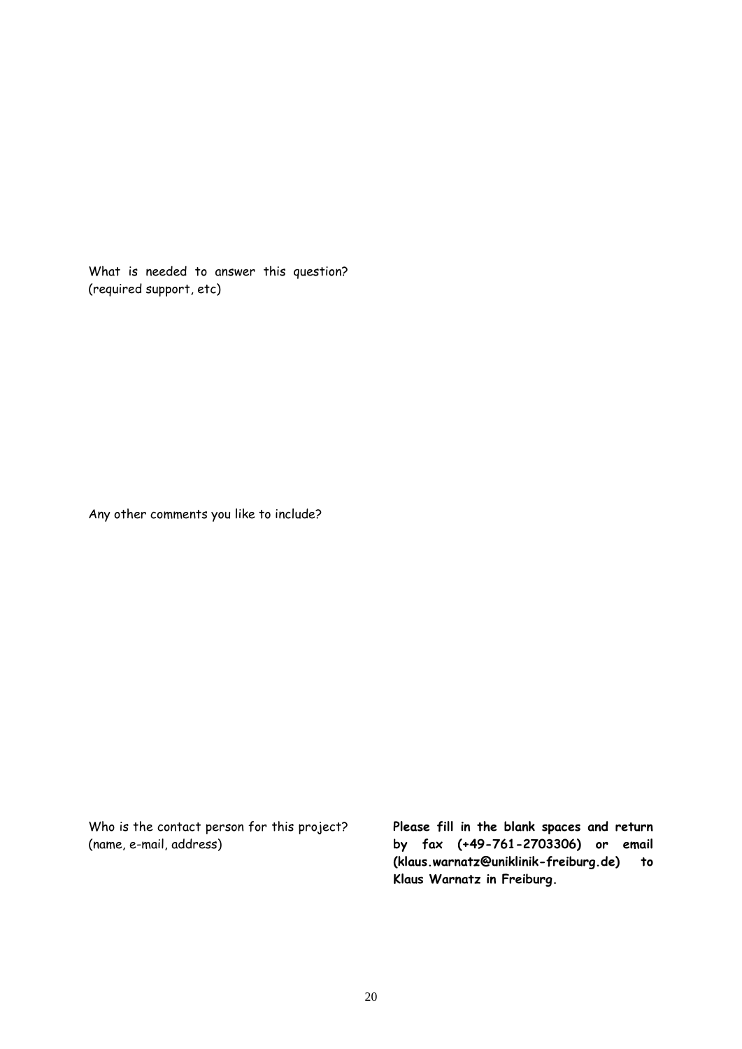What is needed to answer this question? (required support, etc)

Any other comments you like to include?

Who is the contact person for this project? (name, e-mail, address)

**Please fill in the blank spaces and return by fax (+49-761-2703306) or email (klaus.warnatz@uniklinik-freiburg.de) to Klaus Warnatz in Freiburg.**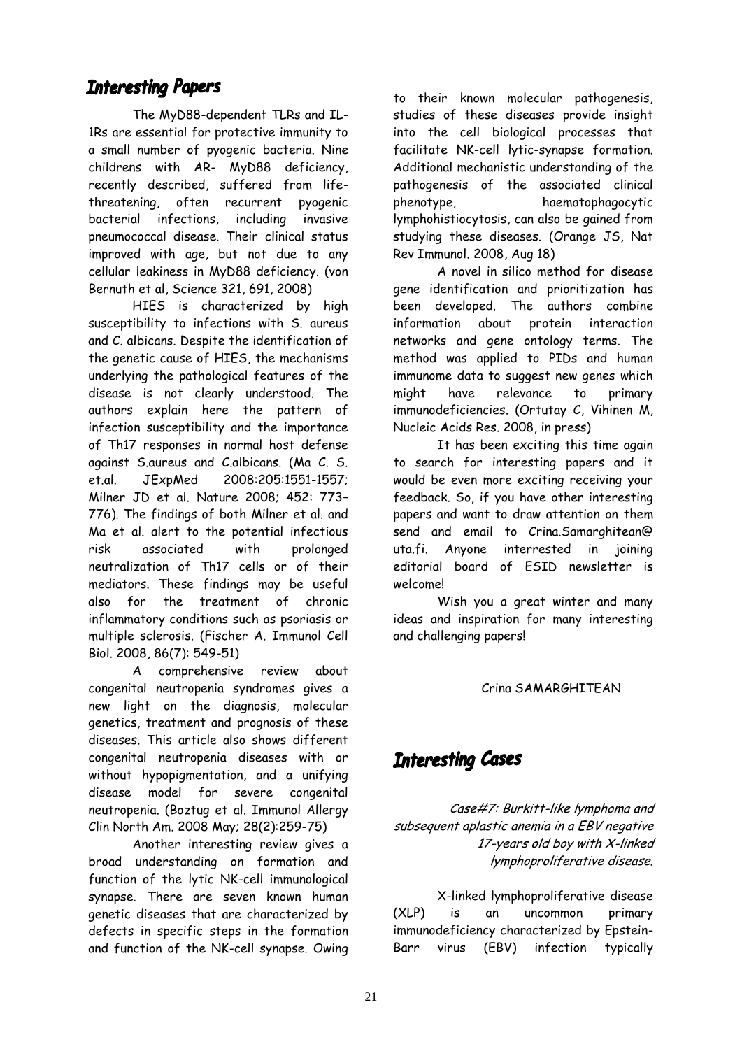## **Interesting Papers**

The MyD88-dependent TLRs and IL-1Rs are essential for protective immunity to a small number of pyogenic bacteria. Nine childrens with AR- MyD88 deficiency, recently described, suffered from lifethreatening, often recurrent pyogenic bacterial infections, including invasive pneumococcal disease. Their clinical status improved with age, but not due to any cellular leakiness in MyD88 deficiency. (von Bernuth et al, Science 321, 691, 2008)

HIES is characterized by high susceptibility to infections with S. aureus and C. albicans. Despite the identification of the genetic cause of HIES, the mechanisms underlying the pathological features of the disease is not clearly understood. The authors explain here the pattern of infection susceptibility and the importance of Th17 responses in normal host defense against S.aureus and C.albicans. (Ma C. S. et.al. JExpMed 2008:205:1551-1557; Milner JD et al. Nature 2008; 452: 773– 776). The findings of both Milner et al. and Ma et al. alert to the potential infectious risk associated with prolonged neutralization of Th17 cells or of their mediators. These findings may be useful also for the treatment of chronic inflammatory conditions such as psoriasis or multiple sclerosis. (Fischer A. Immunol Cell Biol. 2008, 86(7): 549-51)

A comprehensive review about congenital neutropenia syndromes gives a new light on the diagnosis, molecular genetics, treatment and prognosis of these diseases. This article also shows different congenital neutropenia diseases with or without hypopigmentation, and a unifying disease model for severe congenital neutropenia. (Boztug et al. Immunol Allergy Clin North Am. 2008 May; 28(2):259-75)

Another interesting review gives a broad understanding on formation and function of the lytic NK-cell immunological synapse. There are seven known human genetic diseases that are characterized by defects in specific steps in the formation and function of the NK-cell synapse. Owing

to their known molecular pathogenesis, studies of these diseases provide insight into the cell biological processes that facilitate NK-cell lytic-synapse formation. Additional mechanistic understanding of the pathogenesis of the associated clinical phenotype, haematophagocytic lymphohistiocytosis, can also be gained from studying these diseases. (Orange JS, Nat Rev Immunol. 2008, Aug 18)

A novel in silico method for disease gene identification and prioritization has been developed. The authors combine information about protein interaction networks and gene ontology terms. The method was applied to PIDs and human immunome data to suggest new genes which might have relevance to primary immunodeficiencies. (Ortutay C, Vihinen M, Nucleic Acids Res. 2008, in press)

It has been exciting this time again to search for interesting papers and it would be even more exciting receiving your feedback. So, if you have other interesting papers and want to draw attention on them send and email to Crina.Samarghitean@ uta.fi. Anyone interrested in joining editorial board of ESID newsletter is welcome!

Wish you a great winter and many ideas and inspiration for many interesting and challenging papers!

Crina SAMARGHITEAN

## **Interesting Cases**

Case#7: Burkitt-like lymphoma and subsequent aplastic anemia in a EBV negative 17-years old boy with X-linked lymphoproliferative disease.

X-linked lymphoproliferative disease (XLP) is an uncommon primary immunodeficiency characterized by Epstein-Barr virus (EBV) infection typically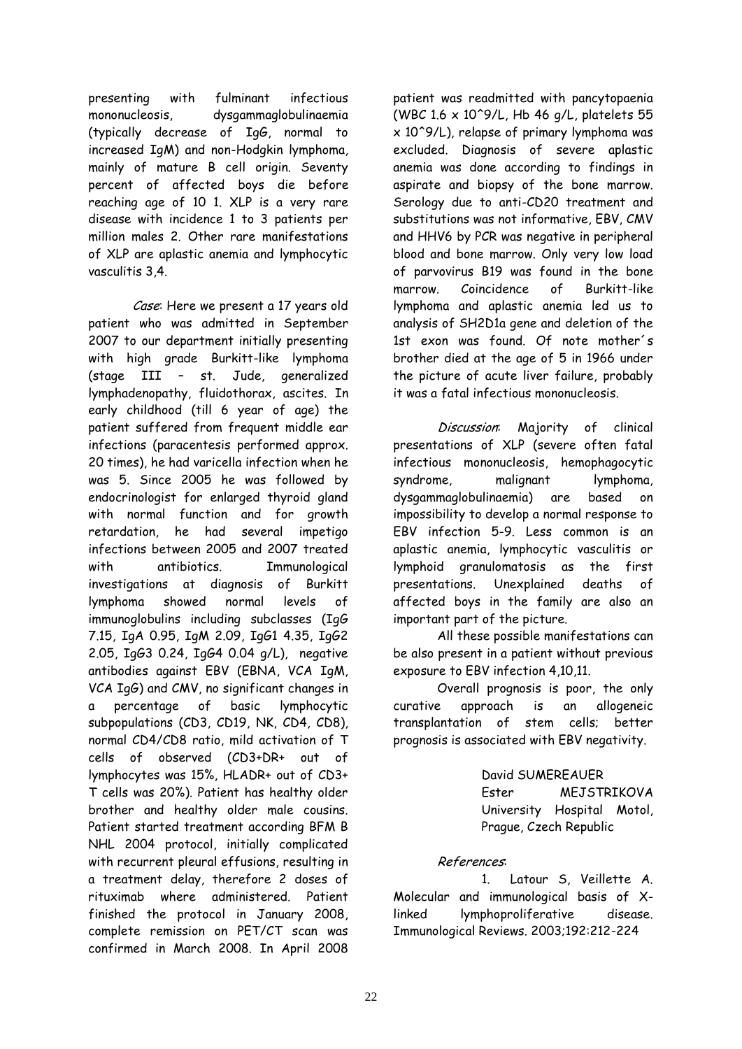presenting with fulminant infectious mononucleosis, dysgammaglobulinaemia (typically decrease of IgG, normal to increased IgM) and non-Hodgkin lymphoma, mainly of mature B cell origin. Seventy percent of affected boys die before reaching age of 10 1. XLP is a very rare disease with incidence 1 to 3 patients per million males 2. Other rare manifestations of XLP are aplastic anemia and lymphocytic vasculitis 3,4.

Case: Here we present a 17 years old patient who was admitted in September 2007 to our department initially presenting with high grade Burkitt-like lymphoma (stage III – st. Jude, generalized lymphadenopathy, fluidothorax, ascites. In early childhood (till 6 year of age) the patient suffered from frequent middle ear infections (paracentesis performed approx. 20 times), he had varicella infection when he was 5. Since 2005 he was followed by endocrinologist for enlarged thyroid gland with normal function and for arowth retardation, he had several impetigo infections between 2005 and 2007 treated with antibiotics. Immunological investigations at diagnosis of Burkitt lymphoma showed normal levels of immunoglobulins including subclasses (IgG 7.15, IgA 0.95, IgM 2.09, IgG1 4.35, IgG2 2.05, IgG3 0.24, IgG4 0.04 g/L), negative antibodies against EBV (EBNA, VCA IgM, VCA IgG) and CMV, no significant changes in a percentage of basic lymphocytic subpopulations (CD3, CD19, NK, CD4, CD8), normal CD4/CD8 ratio, mild activation of T cells of observed (CD3+DR+ out of lymphocytes was 15%, HLADR+ out of CD3+ T cells was 20%). Patient has healthy older brother and healthy older male cousins. Patient started treatment according BFM B NHL 2004 protocol, initially complicated with recurrent pleural effusions, resulting in a treatment delay, therefore 2 doses of rituximab where administered. Patient finished the protocol in January 2008, complete remission on PET/CT scan was confirmed in March 2008. In April 2008

patient was readmitted with pancytopaenia (WBC 1.6 x 10^9/L, Hb 46 g/L, platelets 55  $x$  10 $^{\circ}$ 9/L), relapse of primary lymphoma was excluded. Diagnosis of severe aplastic anemia was done according to findings in aspirate and biopsy of the bone marrow. Serology due to anti-CD20 treatment and substitutions was not informative, EBV, CMV and HHV6 by PCR was negative in peripheral blood and bone marrow. Only very low load of parvovirus B19 was found in the bone marrow. Coincidence of Burkitt-like lymphoma and aplastic anemia led us to analysis of SH2D1a gene and deletion of the 1st exon was found. Of note mother´s brother died at the age of 5 in 1966 under the picture of acute liver failure, probably it was a fatal infectious mononucleosis.

Discussion: Majority of clinical presentations of XLP (severe often fatal infectious mononucleosis, hemophagocytic syndrome, malignant lymphoma, dysgammaglobulinaemia) are based on impossibility to develop a normal response to EBV infection 5-9. Less common is an aplastic anemia, lymphocytic vasculitis or lymphoid granulomatosis as the first presentations. Unexplained deaths of affected boys in the family are also an important part of the picture.

All these possible manifestations can be also present in a patient without previous exposure to EBV infection 4,10,11.

Overall prognosis is poor, the only curative approach is an allogeneic transplantation of stem cells; better prognosis is associated with EBV negativity.

David SUMEREAUER

Ester MEJSTRIKOVA University Hospital Motol, Prague, Czech Republic

#### References:

1. Latour S, Veillette A. Molecular and immunological basis of Xlinked lymphoproliferative disease. Immunological Reviews. 2003;192:212-224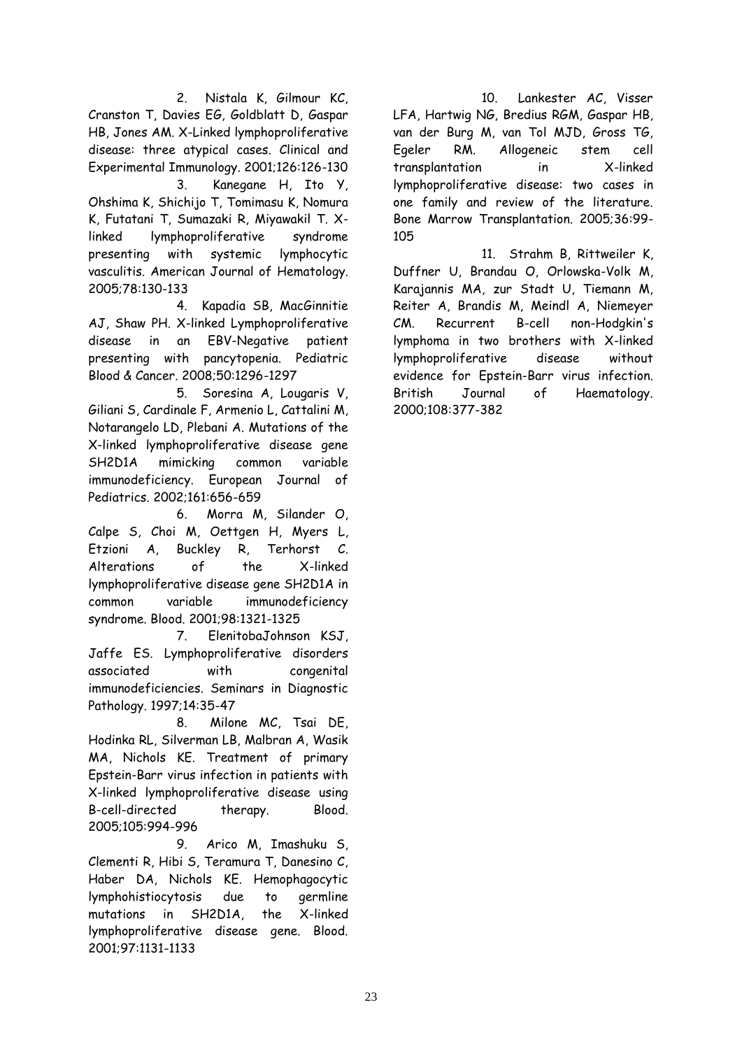2. Nistala K, Gilmour KC, Cranston T, Davies EG, Goldblatt D, Gaspar HB, Jones AM. X-Linked lymphoproliferative disease: three atypical cases. Clinical and Experimental Immunology. 2001;126:126-130 3. Kanegane H, Ito Y,

Ohshima K, Shichijo T, Tomimasu K, Nomura K, Futatani T, Sumazaki R, Miyawakil T. Xlinked lymphoproliferative syndrome presenting with systemic lymphocytic vasculitis. American Journal of Hematology. 2005;78:130-133

4. Kapadia SB, MacGinnitie AJ, Shaw PH. X-linked Lymphoproliferative disease in an EBV-Negative patient presenting with pancytopenia. Pediatric Blood & Cancer. 2008;50:1296-1297

5. Soresina A, Lougaris V, Giliani S, Cardinale F, Armenio L, Cattalini M, Notarangelo LD, Plebani A. Mutations of the X-linked lymphoproliferative disease gene SH2D1A mimicking common variable immunodeficiency. European Journal of Pediatrics. 2002;161:656-659

6. Morra M, Silander O, Calpe S, Choi M, Oettgen H, Myers L, Etzioni A, Buckley R, Terhorst C. Alterations of the X-linked lymphoproliferative disease gene SH2D1A in common variable immunodeficiency syndrome. Blood. 2001;98:1321-1325

7. ElenitobaJohnson KSJ, Jaffe ES. Lymphoproliferative disorders associated with congenital immunodeficiencies. Seminars in Diagnostic Pathology. 1997;14:35-47

8. Milone MC, Tsai DE, Hodinka RL, Silverman LB, Malbran A, Wasik MA, Nichols KE. Treatment of primary Epstein-Barr virus infection in patients with X-linked lymphoproliferative disease using B-cell-directed therapy. Blood. 2005;105:994-996

9. Arico M, Imashuku S, Clementi R, Hibi S, Teramura T, Danesino C, Haber DA, Nichols KE. Hemophagocytic lymphohistiocytosis due to germline mutations in SH2D1A, the X-linked lymphoproliferative disease gene. Blood. 2001;97:1131-1133

10. Lankester AC, Visser LFA, Hartwig NG, Bredius RGM, Gaspar HB, van der Burg M, van Tol MJD, Gross TG, Egeler RM. Allogeneic stem cell transplantation in X-linked lymphoproliferative disease: two cases in one family and review of the literature. Bone Marrow Transplantation. 2005;36:99- 105

11. Strahm B, Rittweiler K, Duffner U, Brandau O, Orlowska-Volk M, Karajannis MA, zur Stadt U, Tiemann M, Reiter A, Brandis M, Meindl A, Niemeyer CM. Recurrent B-cell non-Hodgkin's lymphoma in two brothers with X-linked lymphoproliferative disease without evidence for Epstein-Barr virus infection. British Journal of Haematology. 2000;108:377-382